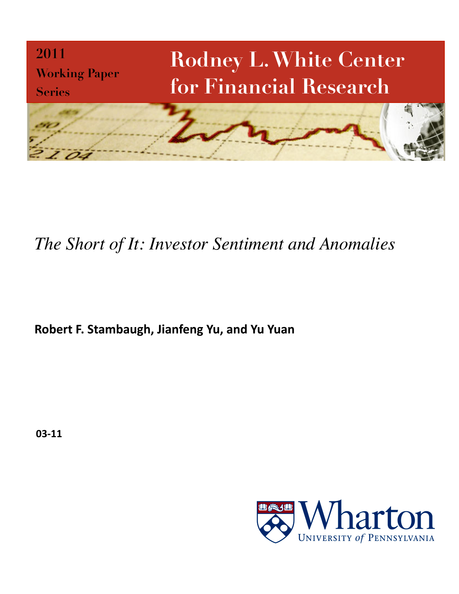

# *The Short of It: Investor Sentiment and Anomalies*

Robert F. Stambaugh, Jianfeng Yu, and Yu Yuan

03-11

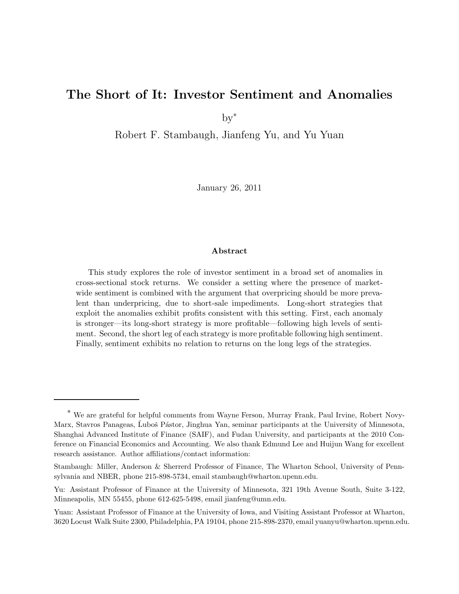# The Short of It: Investor Sentiment and Anomalies

 $by^*$ 

Robert F. Stambaugh, Jianfeng Yu, and Yu Yuan

January 26, 2011

#### Abstract

This study explores the role of investor sentiment in a broad set of anomalies in cross-sectional stock returns. We consider a setting where the presence of marketwide sentiment is combined with the argument that overpricing should be more prevalent than underpricing, due to short-sale impediments. Long-short strategies that exploit the anomalies exhibit profits consistent with this setting. First, each anomaly is stronger—its long-short strategy is more profitable—following high levels of sentiment. Second, the short leg of each strategy is more profitable following high sentiment. Finally, sentiment exhibits no relation to returns on the long legs of the strategies.

<sup>\*</sup> We are grateful for helpful comments from Wayne Ferson, Murray Frank, Paul Irvine, Robert Novy-Marx, Stavros Panageas, Ľuboš Pástor, Jinghua Yan, seminar participants at the University of Minnesota, Shanghai Advanced Institute of Finance (SAIF), and Fudan University, and participants at the 2010 Conference on Financial Economics and Accounting. We also thank Edmund Lee and Huijun Wang for excellent research assistance. Author affiliations/contact information:

Stambaugh: Miller, Anderson & Sherrerd Professor of Finance, The Wharton School, University of Pennsylvania and NBER, phone 215-898-5734, email stambaugh@wharton.upenn.edu.

Yu: Assistant Professor of Finance at the University of Minnesota, 321 19th Avenue South, Suite 3-122, Minneapolis, MN 55455, phone 612-625-5498, email jianfeng@umn.edu.

Yuan: Assistant Professor of Finance at the University of Iowa, and Visiting Assistant Professor at Wharton, 3620 Locust Walk Suite 2300, Philadelphia, PA 19104, phone 215-898-2370, email yuanyu@wharton.upenn.edu.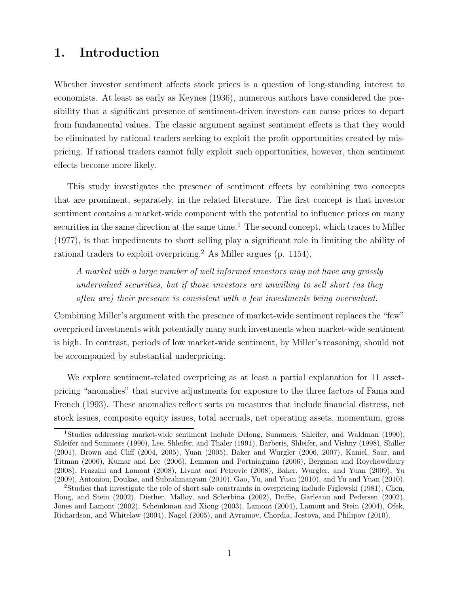# 1. Introduction

Whether investor sentiment affects stock prices is a question of long-standing interest to economists. At least as early as Keynes (1936), numerous authors have considered the possibility that a significant presence of sentiment-driven investors can cause prices to depart from fundamental values. The classic argument against sentiment effects is that they would be eliminated by rational traders seeking to exploit the profit opportunities created by mispricing. If rational traders cannot fully exploit such opportunities, however, then sentiment effects become more likely.

This study investigates the presence of sentiment effects by combining two concepts that are prominent, separately, in the related literature. The first concept is that investor sentiment contains a market-wide component with the potential to influence prices on many securities in the same direction at the same time.<sup>1</sup> The second concept, which traces to Miller (1977), is that impediments to short selling play a significant role in limiting the ability of rational traders to exploit overpricing.<sup>2</sup> As Miller argues (p. 1154),

A market with a large number of well informed investors may not have any grossly undervalued securities, but if those investors are unwilling to sell short (as they often are) their presence is consistent with a few investments being overvalued.

Combining Miller's argument with the presence of market-wide sentiment replaces the "few" overpriced investments with potentially many such investments when market-wide sentiment is high. In contrast, periods of low market-wide sentiment, by Miller's reasoning, should not be accompanied by substantial underpricing.

We explore sentiment-related overpricing as at least a partial explanation for 11 assetpricing "anomalies" that survive adjustments for exposure to the three factors of Fama and French (1993). These anomalies reflect sorts on measures that include financial distress, net stock issues, composite equity issues, total accruals, net operating assets, momentum, gross

<sup>1</sup>Studies addressing market-wide sentiment include Delong, Summers, Shleifer, and Waldman (1990), Shleifer and Summers (1990), Lee, Shleifer, and Thaler (1991), Barberis, Shleifer, and Vishny (1998), Shiller (2001), Brown and Cliff (2004, 2005), Yuan (2005), Baker and Wurgler (2006, 2007), Kaniel, Saar, and Titman (2006), Kumar and Lee (2006), Lemmon and Portniaguina (2006), Bergman and Roychowdhury (2008), Frazzini and Lamont (2008), Livnat and Petrovic (2008), Baker, Wurgler, and Yuan (2009), Yu (2009), Antoniou, Doukas, and Subrahmanyam (2010), Gao, Yu, and Yuan (2010), and Yu and Yuan (2010).

<sup>2</sup>Studies that investigate the role of short-sale constraints in overpricing include Figlewski (1981), Chen, Hong, and Stein (2002), Diether, Malloy, and Scherbina (2002), Duffie, Garleanu and Pedersen (2002), Jones and Lamont (2002), Scheinkman and Xiong (2003), Lamont (2004), Lamont and Stein (2004), Ofek, Richardson, and Whitelaw (2004), Nagel (2005), and Avramov, Chordia, Jostova, and Philipov (2010).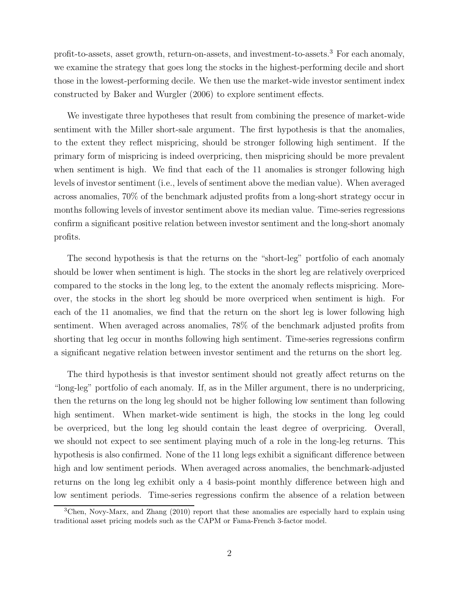profit-to-assets, asset growth, return-on-assets, and investment-to-assets.<sup>3</sup> For each anomaly, we examine the strategy that goes long the stocks in the highest-performing decile and short those in the lowest-performing decile. We then use the market-wide investor sentiment index constructed by Baker and Wurgler (2006) to explore sentiment effects.

We investigate three hypotheses that result from combining the presence of market-wide sentiment with the Miller short-sale argument. The first hypothesis is that the anomalies, to the extent they reflect mispricing, should be stronger following high sentiment. If the primary form of mispricing is indeed overpricing, then mispricing should be more prevalent when sentiment is high. We find that each of the 11 anomalies is stronger following high levels of investor sentiment (i.e., levels of sentiment above the median value). When averaged across anomalies, 70% of the benchmark adjusted profits from a long-short strategy occur in months following levels of investor sentiment above its median value. Time-series regressions confirm a significant positive relation between investor sentiment and the long-short anomaly profits.

The second hypothesis is that the returns on the "short-leg" portfolio of each anomaly should be lower when sentiment is high. The stocks in the short leg are relatively overpriced compared to the stocks in the long leg, to the extent the anomaly reflects mispricing. Moreover, the stocks in the short leg should be more overpriced when sentiment is high. For each of the 11 anomalies, we find that the return on the short leg is lower following high sentiment. When averaged across anomalies, 78% of the benchmark adjusted profits from shorting that leg occur in months following high sentiment. Time-series regressions confirm a significant negative relation between investor sentiment and the returns on the short leg.

The third hypothesis is that investor sentiment should not greatly affect returns on the "long-leg" portfolio of each anomaly. If, as in the Miller argument, there is no underpricing, then the returns on the long leg should not be higher following low sentiment than following high sentiment. When market-wide sentiment is high, the stocks in the long leg could be overpriced, but the long leg should contain the least degree of overpricing. Overall, we should not expect to see sentiment playing much of a role in the long-leg returns. This hypothesis is also confirmed. None of the 11 long legs exhibit a significant difference between high and low sentiment periods. When averaged across anomalies, the benchmark-adjusted returns on the long leg exhibit only a 4 basis-point monthly difference between high and low sentiment periods. Time-series regressions confirm the absence of a relation between

<sup>3</sup>Chen, Novy-Marx, and Zhang (2010) report that these anomalies are especially hard to explain using traditional asset pricing models such as the CAPM or Fama-French 3-factor model.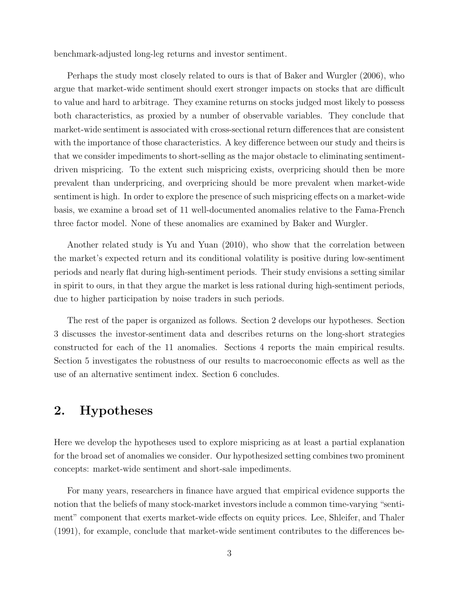benchmark-adjusted long-leg returns and investor sentiment.

Perhaps the study most closely related to ours is that of Baker and Wurgler (2006), who argue that market-wide sentiment should exert stronger impacts on stocks that are difficult to value and hard to arbitrage. They examine returns on stocks judged most likely to possess both characteristics, as proxied by a number of observable variables. They conclude that market-wide sentiment is associated with cross-sectional return differences that are consistent with the importance of those characteristics. A key difference between our study and theirs is that we consider impediments to short-selling as the major obstacle to eliminating sentimentdriven mispricing. To the extent such mispricing exists, overpricing should then be more prevalent than underpricing, and overpricing should be more prevalent when market-wide sentiment is high. In order to explore the presence of such mispricing effects on a market-wide basis, we examine a broad set of 11 well-documented anomalies relative to the Fama-French three factor model. None of these anomalies are examined by Baker and Wurgler.

Another related study is Yu and Yuan (2010), who show that the correlation between the market's expected return and its conditional volatility is positive during low-sentiment periods and nearly flat during high-sentiment periods. Their study envisions a setting similar in spirit to ours, in that they argue the market is less rational during high-sentiment periods, due to higher participation by noise traders in such periods.

The rest of the paper is organized as follows. Section 2 develops our hypotheses. Section 3 discusses the investor-sentiment data and describes returns on the long-short strategies constructed for each of the 11 anomalies. Sections 4 reports the main empirical results. Section 5 investigates the robustness of our results to macroeconomic effects as well as the use of an alternative sentiment index. Section 6 concludes.

# 2. Hypotheses

Here we develop the hypotheses used to explore mispricing as at least a partial explanation for the broad set of anomalies we consider. Our hypothesized setting combines two prominent concepts: market-wide sentiment and short-sale impediments.

For many years, researchers in finance have argued that empirical evidence supports the notion that the beliefs of many stock-market investors include a common time-varying "sentiment" component that exerts market-wide effects on equity prices. Lee, Shleifer, and Thaler (1991), for example, conclude that market-wide sentiment contributes to the differences be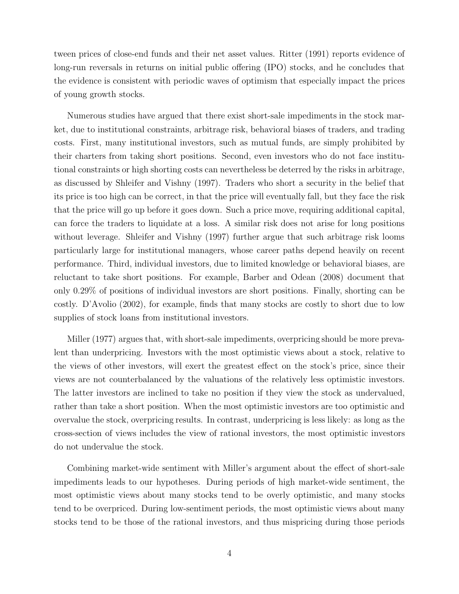tween prices of close-end funds and their net asset values. Ritter (1991) reports evidence of long-run reversals in returns on initial public offering (IPO) stocks, and he concludes that the evidence is consistent with periodic waves of optimism that especially impact the prices of young growth stocks.

Numerous studies have argued that there exist short-sale impediments in the stock market, due to institutional constraints, arbitrage risk, behavioral biases of traders, and trading costs. First, many institutional investors, such as mutual funds, are simply prohibited by their charters from taking short positions. Second, even investors who do not face institutional constraints or high shorting costs can nevertheless be deterred by the risks in arbitrage, as discussed by Shleifer and Vishny (1997). Traders who short a security in the belief that its price is too high can be correct, in that the price will eventually fall, but they face the risk that the price will go up before it goes down. Such a price move, requiring additional capital, can force the traders to liquidate at a loss. A similar risk does not arise for long positions without leverage. Shleifer and Vishny (1997) further argue that such arbitrage risk looms particularly large for institutional managers, whose career paths depend heavily on recent performance. Third, individual investors, due to limited knowledge or behavioral biases, are reluctant to take short positions. For example, Barber and Odean (2008) document that only 0.29% of positions of individual investors are short positions. Finally, shorting can be costly. D'Avolio (2002), for example, finds that many stocks are costly to short due to low supplies of stock loans from institutional investors.

Miller (1977) argues that, with short-sale impediments, overpricing should be more prevalent than underpricing. Investors with the most optimistic views about a stock, relative to the views of other investors, will exert the greatest effect on the stock's price, since their views are not counterbalanced by the valuations of the relatively less optimistic investors. The latter investors are inclined to take no position if they view the stock as undervalued, rather than take a short position. When the most optimistic investors are too optimistic and overvalue the stock, overpricing results. In contrast, underpricing is less likely: as long as the cross-section of views includes the view of rational investors, the most optimistic investors do not undervalue the stock.

Combining market-wide sentiment with Miller's argument about the effect of short-sale impediments leads to our hypotheses. During periods of high market-wide sentiment, the most optimistic views about many stocks tend to be overly optimistic, and many stocks tend to be overpriced. During low-sentiment periods, the most optimistic views about many stocks tend to be those of the rational investors, and thus mispricing during those periods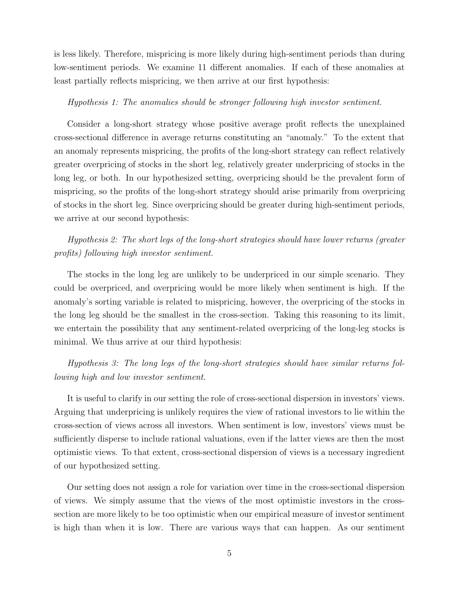is less likely. Therefore, mispricing is more likely during high-sentiment periods than during low-sentiment periods. We examine 11 different anomalies. If each of these anomalies at least partially reflects mispricing, we then arrive at our first hypothesis:

#### Hypothesis 1: The anomalies should be stronger following high investor sentiment.

Consider a long-short strategy whose positive average profit reflects the unexplained cross-sectional difference in average returns constituting an "anomaly." To the extent that an anomaly represents mispricing, the profits of the long-short strategy can reflect relatively greater overpricing of stocks in the short leg, relatively greater underpricing of stocks in the long leg, or both. In our hypothesized setting, overpricing should be the prevalent form of mispricing, so the profits of the long-short strategy should arise primarily from overpricing of stocks in the short leg. Since overpricing should be greater during high-sentiment periods, we arrive at our second hypothesis:

Hypothesis 2: The short legs of the long-short strategies should have lower returns (greater profits) following high investor sentiment.

The stocks in the long leg are unlikely to be underpriced in our simple scenario. They could be overpriced, and overpricing would be more likely when sentiment is high. If the anomaly's sorting variable is related to mispricing, however, the overpricing of the stocks in the long leg should be the smallest in the cross-section. Taking this reasoning to its limit, we entertain the possibility that any sentiment-related overpricing of the long-leg stocks is minimal. We thus arrive at our third hypothesis:

Hypothesis 3: The long legs of the long-short strategies should have similar returns following high and low investor sentiment.

It is useful to clarify in our setting the role of cross-sectional dispersion in investors' views. Arguing that underpricing is unlikely requires the view of rational investors to lie within the cross-section of views across all investors. When sentiment is low, investors' views must be sufficiently disperse to include rational valuations, even if the latter views are then the most optimistic views. To that extent, cross-sectional dispersion of views is a necessary ingredient of our hypothesized setting.

Our setting does not assign a role for variation over time in the cross-sectional dispersion of views. We simply assume that the views of the most optimistic investors in the crosssection are more likely to be too optimistic when our empirical measure of investor sentiment is high than when it is low. There are various ways that can happen. As our sentiment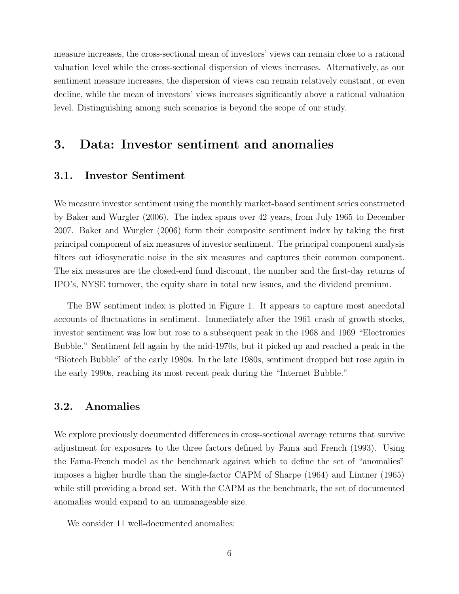measure increases, the cross-sectional mean of investors' views can remain close to a rational valuation level while the cross-sectional dispersion of views increases. Alternatively, as our sentiment measure increases, the dispersion of views can remain relatively constant, or even decline, while the mean of investors' views increases significantly above a rational valuation level. Distinguishing among such scenarios is beyond the scope of our study.

# 3. Data: Investor sentiment and anomalies

# 3.1. Investor Sentiment

We measure investor sentiment using the monthly market-based sentiment series constructed by Baker and Wurgler (2006). The index spans over 42 years, from July 1965 to December 2007. Baker and Wurgler (2006) form their composite sentiment index by taking the first principal component of six measures of investor sentiment. The principal component analysis filters out idiosyncratic noise in the six measures and captures their common component. The six measures are the closed-end fund discount, the number and the first-day returns of IPO's, NYSE turnover, the equity share in total new issues, and the dividend premium.

The BW sentiment index is plotted in Figure 1. It appears to capture most anecdotal accounts of fluctuations in sentiment. Immediately after the 1961 crash of growth stocks, investor sentiment was low but rose to a subsequent peak in the 1968 and 1969 "Electronics Bubble." Sentiment fell again by the mid-1970s, but it picked up and reached a peak in the "Biotech Bubble" of the early 1980s. In the late 1980s, sentiment dropped but rose again in the early 1990s, reaching its most recent peak during the "Internet Bubble."

## 3.2. Anomalies

We explore previously documented differences in cross-sectional average returns that survive adjustment for exposures to the three factors defined by Fama and French (1993). Using the Fama-French model as the benchmark against which to define the set of "anomalies" imposes a higher hurdle than the single-factor CAPM of Sharpe (1964) and Lintner (1965) while still providing a broad set. With the CAPM as the benchmark, the set of documented anomalies would expand to an unmanageable size.

We consider 11 well-documented anomalies: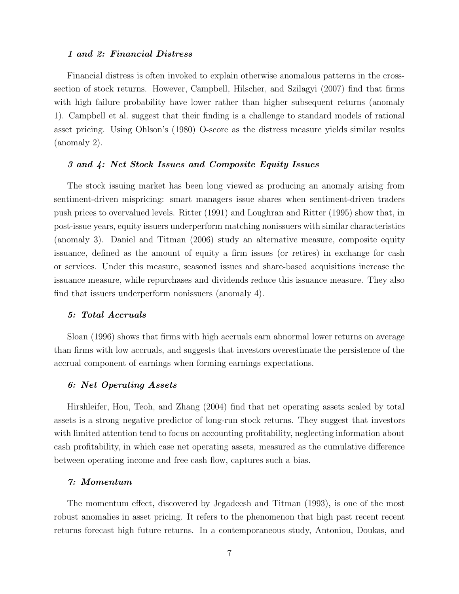#### 1 and 2: Financial Distress

Financial distress is often invoked to explain otherwise anomalous patterns in the crosssection of stock returns. However, Campbell, Hilscher, and Szilagyi (2007) find that firms with high failure probability have lower rather than higher subsequent returns (anomaly 1). Campbell et al. suggest that their finding is a challenge to standard models of rational asset pricing. Using Ohlson's (1980) O-score as the distress measure yields similar results (anomaly 2).

#### 3 and 4: Net Stock Issues and Composite Equity Issues

The stock issuing market has been long viewed as producing an anomaly arising from sentiment-driven mispricing: smart managers issue shares when sentiment-driven traders push prices to overvalued levels. Ritter (1991) and Loughran and Ritter (1995) show that, in post-issue years, equity issuers underperform matching nonissuers with similar characteristics (anomaly 3). Daniel and Titman (2006) study an alternative measure, composite equity issuance, defined as the amount of equity a firm issues (or retires) in exchange for cash or services. Under this measure, seasoned issues and share-based acquisitions increase the issuance measure, while repurchases and dividends reduce this issuance measure. They also find that issuers underperform nonissuers (anomaly 4).

#### 5: Total Accruals

Sloan (1996) shows that firms with high accruals earn abnormal lower returns on average than firms with low accruals, and suggests that investors overestimate the persistence of the accrual component of earnings when forming earnings expectations.

#### 6: Net Operating Assets

Hirshleifer, Hou, Teoh, and Zhang (2004) find that net operating assets scaled by total assets is a strong negative predictor of long-run stock returns. They suggest that investors with limited attention tend to focus on accounting profitability, neglecting information about cash profitability, in which case net operating assets, measured as the cumulative difference between operating income and free cash flow, captures such a bias.

#### 7: Momentum

The momentum effect, discovered by Jegadeesh and Titman (1993), is one of the most robust anomalies in asset pricing. It refers to the phenomenon that high past recent recent returns forecast high future returns. In a contemporaneous study, Antoniou, Doukas, and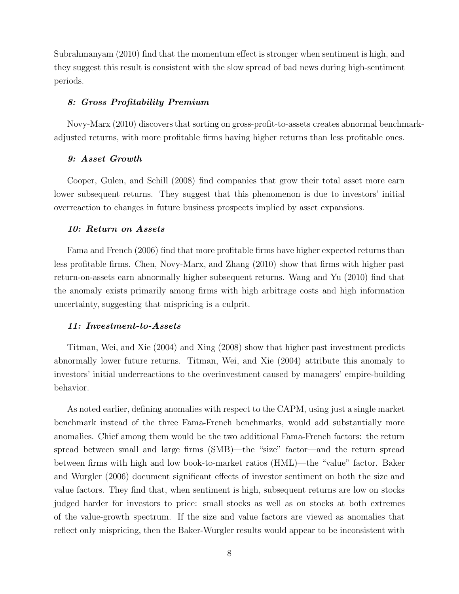Subrahmanyam (2010) find that the momentum effect is stronger when sentiment is high, and they suggest this result is consistent with the slow spread of bad news during high-sentiment periods.

#### 8: Gross Profitability Premium

Novy-Marx (2010) discovers that sorting on gross-profit-to-assets creates abnormal benchmarkadjusted returns, with more profitable firms having higher returns than less profitable ones.

#### 9: Asset Growth

Cooper, Gulen, and Schill (2008) find companies that grow their total asset more earn lower subsequent returns. They suggest that this phenomenon is due to investors' initial overreaction to changes in future business prospects implied by asset expansions.

#### 10: Return on Assets

Fama and French (2006) find that more profitable firms have higher expected returns than less profitable firms. Chen, Novy-Marx, and Zhang (2010) show that firms with higher past return-on-assets earn abnormally higher subsequent returns. Wang and Yu (2010) find that the anomaly exists primarily among firms with high arbitrage costs and high information uncertainty, suggesting that mispricing is a culprit.

#### 11: Investment-to-Assets

Titman, Wei, and Xie (2004) and Xing (2008) show that higher past investment predicts abnormally lower future returns. Titman, Wei, and Xie (2004) attribute this anomaly to investors' initial underreactions to the overinvestment caused by managers' empire-building behavior.

As noted earlier, defining anomalies with respect to the CAPM, using just a single market benchmark instead of the three Fama-French benchmarks, would add substantially more anomalies. Chief among them would be the two additional Fama-French factors: the return spread between small and large firms (SMB)—the "size" factor—and the return spread between firms with high and low book-to-market ratios (HML)—the "value" factor. Baker and Wurgler (2006) document significant effects of investor sentiment on both the size and value factors. They find that, when sentiment is high, subsequent returns are low on stocks judged harder for investors to price: small stocks as well as on stocks at both extremes of the value-growth spectrum. If the size and value factors are viewed as anomalies that reflect only mispricing, then the Baker-Wurgler results would appear to be inconsistent with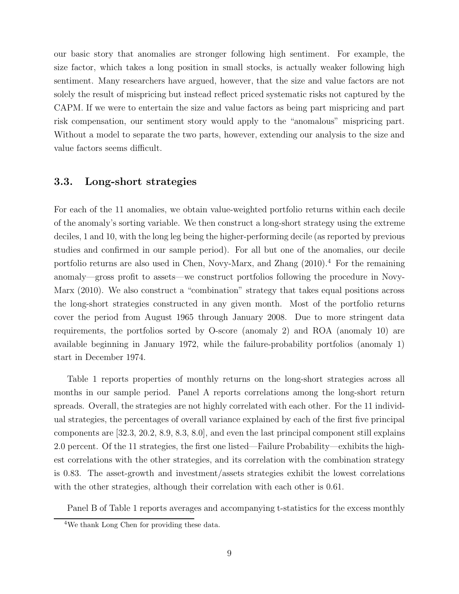our basic story that anomalies are stronger following high sentiment. For example, the size factor, which takes a long position in small stocks, is actually weaker following high sentiment. Many researchers have argued, however, that the size and value factors are not solely the result of mispricing but instead reflect priced systematic risks not captured by the CAPM. If we were to entertain the size and value factors as being part mispricing and part risk compensation, our sentiment story would apply to the "anomalous" mispricing part. Without a model to separate the two parts, however, extending our analysis to the size and value factors seems difficult.

# 3.3. Long-short strategies

For each of the 11 anomalies, we obtain value-weighted portfolio returns within each decile of the anomaly's sorting variable. We then construct a long-short strategy using the extreme deciles, 1 and 10, with the long leg being the higher-performing decile (as reported by previous studies and confirmed in our sample period). For all but one of the anomalies, our decile portfolio returns are also used in Chen, Novy-Marx, and Zhang  $(2010)^4$  For the remaining anomaly—gross profit to assets—we construct portfolios following the procedure in Novy-Marx (2010). We also construct a "combination" strategy that takes equal positions across the long-short strategies constructed in any given month. Most of the portfolio returns cover the period from August 1965 through January 2008. Due to more stringent data requirements, the portfolios sorted by O-score (anomaly 2) and ROA (anomaly 10) are available beginning in January 1972, while the failure-probability portfolios (anomaly 1) start in December 1974.

Table 1 reports properties of monthly returns on the long-short strategies across all months in our sample period. Panel A reports correlations among the long-short return spreads. Overall, the strategies are not highly correlated with each other. For the 11 individual strategies, the percentages of overall variance explained by each of the first five principal components are [32.3, 20.2, 8.9, 8.3, 8.0], and even the last principal component still explains 2.0 percent. Of the 11 strategies, the first one listed—Failure Probability—exhibits the highest correlations with the other strategies, and its correlation with the combination strategy is 0.83. The asset-growth and investment/assets strategies exhibit the lowest correlations with the other strategies, although their correlation with each other is 0.61.

Panel B of Table 1 reports averages and accompanying t-statistics for the excess monthly

<sup>4</sup>We thank Long Chen for providing these data.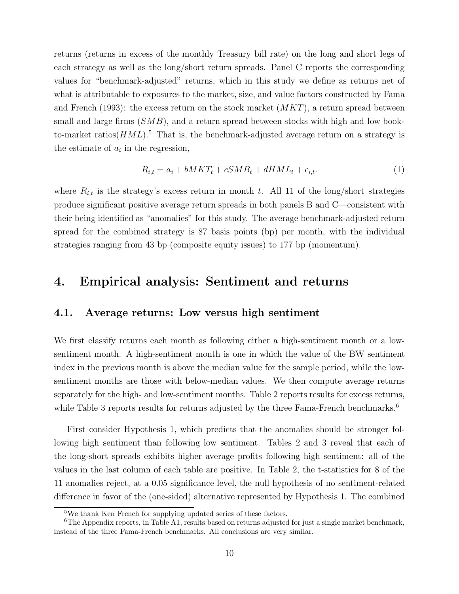returns (returns in excess of the monthly Treasury bill rate) on the long and short legs of each strategy as well as the long/short return spreads. Panel C reports the corresponding values for "benchmark-adjusted" returns, which in this study we define as returns net of what is attributable to exposures to the market, size, and value factors constructed by Fama and French (1993): the excess return on the stock market  $(MKT)$ , a return spread between small and large firms  $(SMB)$ , and a return spread between stocks with high and low bookto-market ratios( $HML$ ).<sup>5</sup> That is, the benchmark-adjusted average return on a strategy is the estimate of  $a_i$  in the regression,

$$
R_{i,t} = a_i + bMKT_t + cSMB_t + dHML_t + \epsilon_{i,t}.
$$
\n
$$
(1)
$$

where  $R_{i,t}$  is the strategy's excess return in month t. All 11 of the long/short strategies produce significant positive average return spreads in both panels B and C—consistent with their being identified as "anomalies" for this study. The average benchmark-adjusted return spread for the combined strategy is 87 basis points (bp) per month, with the individual strategies ranging from 43 bp (composite equity issues) to 177 bp (momentum).

# 4. Empirical analysis: Sentiment and returns

# 4.1. Average returns: Low versus high sentiment

We first classify returns each month as following either a high-sentiment month or a lowsentiment month. A high-sentiment month is one in which the value of the BW sentiment index in the previous month is above the median value for the sample period, while the lowsentiment months are those with below-median values. We then compute average returns separately for the high- and low-sentiment months. Table 2 reports results for excess returns, while Table 3 reports results for returns adjusted by the three Fama-French benchmarks.<sup>6</sup>

First consider Hypothesis 1, which predicts that the anomalies should be stronger following high sentiment than following low sentiment. Tables 2 and 3 reveal that each of the long-short spreads exhibits higher average profits following high sentiment: all of the values in the last column of each table are positive. In Table 2, the t-statistics for 8 of the 11 anomalies reject, at a 0.05 significance level, the null hypothesis of no sentiment-related difference in favor of the (one-sided) alternative represented by Hypothesis 1. The combined

<sup>5</sup>We thank Ken French for supplying updated series of these factors.

 $6$ The Appendix reports, in Table A1, results based on returns adjusted for just a single market benchmark, instead of the three Fama-French benchmarks. All conclusions are very similar.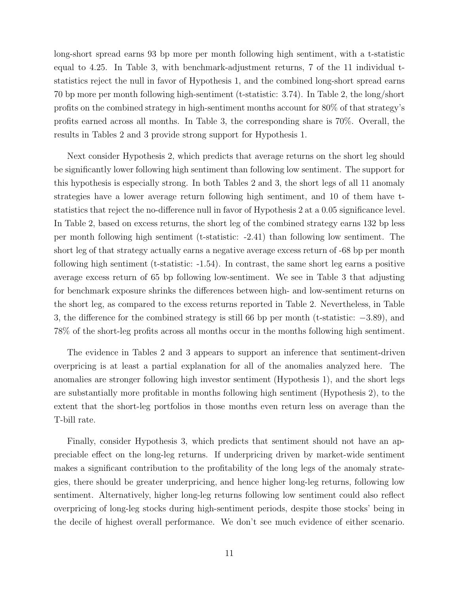long-short spread earns 93 bp more per month following high sentiment, with a t-statistic equal to 4.25. In Table 3, with benchmark-adjustment returns, 7 of the 11 individual tstatistics reject the null in favor of Hypothesis 1, and the combined long-short spread earns 70 bp more per month following high-sentiment (t-statistic: 3.74). In Table 2, the long/short profits on the combined strategy in high-sentiment months account for 80% of that strategy's profits earned across all months. In Table 3, the corresponding share is 70%. Overall, the results in Tables 2 and 3 provide strong support for Hypothesis 1.

Next consider Hypothesis 2, which predicts that average returns on the short leg should be significantly lower following high sentiment than following low sentiment. The support for this hypothesis is especially strong. In both Tables 2 and 3, the short legs of all 11 anomaly strategies have a lower average return following high sentiment, and 10 of them have tstatistics that reject the no-difference null in favor of Hypothesis 2 at a 0.05 significance level. In Table 2, based on excess returns, the short leg of the combined strategy earns 132 bp less per month following high sentiment (t-statistic: -2.41) than following low sentiment. The short leg of that strategy actually earns a negative average excess return of -68 bp per month following high sentiment (t-statistic: -1.54). In contrast, the same short leg earns a positive average excess return of 65 bp following low-sentiment. We see in Table 3 that adjusting for benchmark exposure shrinks the differences between high- and low-sentiment returns on the short leg, as compared to the excess returns reported in Table 2. Nevertheless, in Table 3, the difference for the combined strategy is still 66 bp per month (t-statistic: −3.89), and 78% of the short-leg profits across all months occur in the months following high sentiment.

The evidence in Tables 2 and 3 appears to support an inference that sentiment-driven overpricing is at least a partial explanation for all of the anomalies analyzed here. The anomalies are stronger following high investor sentiment (Hypothesis 1), and the short legs are substantially more profitable in months following high sentiment (Hypothesis 2), to the extent that the short-leg portfolios in those months even return less on average than the T-bill rate.

Finally, consider Hypothesis 3, which predicts that sentiment should not have an appreciable effect on the long-leg returns. If underpricing driven by market-wide sentiment makes a significant contribution to the profitability of the long legs of the anomaly strategies, there should be greater underpricing, and hence higher long-leg returns, following low sentiment. Alternatively, higher long-leg returns following low sentiment could also reflect overpricing of long-leg stocks during high-sentiment periods, despite those stocks' being in the decile of highest overall performance. We don't see much evidence of either scenario.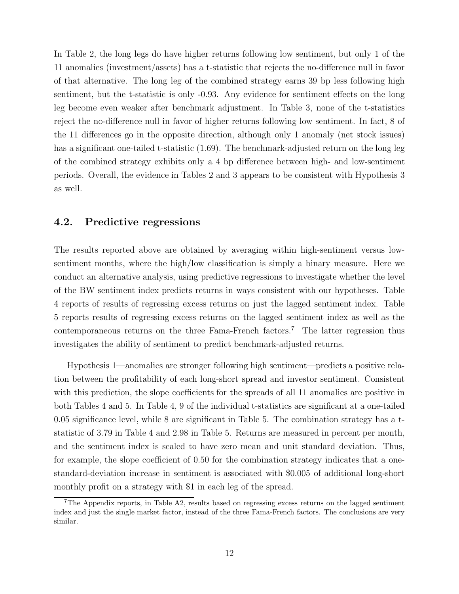In Table 2, the long legs do have higher returns following low sentiment, but only 1 of the 11 anomalies (investment/assets) has a t-statistic that rejects the no-difference null in favor of that alternative. The long leg of the combined strategy earns 39 bp less following high sentiment, but the t-statistic is only -0.93. Any evidence for sentiment effects on the long leg become even weaker after benchmark adjustment. In Table 3, none of the t-statistics reject the no-difference null in favor of higher returns following low sentiment. In fact, 8 of the 11 differences go in the opposite direction, although only 1 anomaly (net stock issues) has a significant one-tailed t-statistic  $(1.69)$ . The benchmark-adjusted return on the long leg of the combined strategy exhibits only a 4 bp difference between high- and low-sentiment periods. Overall, the evidence in Tables 2 and 3 appears to be consistent with Hypothesis 3 as well.

# 4.2. Predictive regressions

The results reported above are obtained by averaging within high-sentiment versus lowsentiment months, where the high/low classification is simply a binary measure. Here we conduct an alternative analysis, using predictive regressions to investigate whether the level of the BW sentiment index predicts returns in ways consistent with our hypotheses. Table 4 reports of results of regressing excess returns on just the lagged sentiment index. Table 5 reports results of regressing excess returns on the lagged sentiment index as well as the contemporaneous returns on the three Fama-French factors.<sup>7</sup> The latter regression thus investigates the ability of sentiment to predict benchmark-adjusted returns.

Hypothesis 1—anomalies are stronger following high sentiment—predicts a positive relation between the profitability of each long-short spread and investor sentiment. Consistent with this prediction, the slope coefficients for the spreads of all 11 anomalies are positive in both Tables 4 and 5. In Table 4, 9 of the individual t-statistics are significant at a one-tailed 0.05 significance level, while 8 are significant in Table 5. The combination strategy has a tstatistic of 3.79 in Table 4 and 2.98 in Table 5. Returns are measured in percent per month, and the sentiment index is scaled to have zero mean and unit standard deviation. Thus, for example, the slope coefficient of 0.50 for the combination strategy indicates that a onestandard-deviation increase in sentiment is associated with \$0.005 of additional long-short monthly profit on a strategy with \$1 in each leg of the spread.

 $7$ The Appendix reports, in Table A2, results based on regressing excess returns on the lagged sentiment index and just the single market factor, instead of the three Fama-French factors. The conclusions are very similar.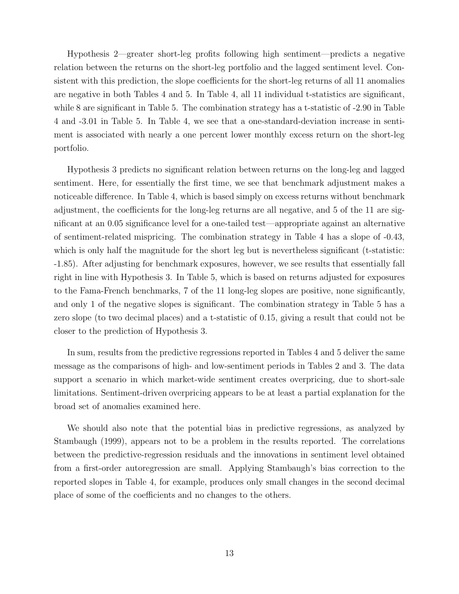Hypothesis 2—greater short-leg profits following high sentiment—predicts a negative relation between the returns on the short-leg portfolio and the lagged sentiment level. Consistent with this prediction, the slope coefficients for the short-leg returns of all 11 anomalies are negative in both Tables 4 and 5. In Table 4, all 11 individual t-statistics are significant, while 8 are significant in Table 5. The combination strategy has a t-statistic of  $-2.90$  in Table 4 and -3.01 in Table 5. In Table 4, we see that a one-standard-deviation increase in sentiment is associated with nearly a one percent lower monthly excess return on the short-leg portfolio.

Hypothesis 3 predicts no significant relation between returns on the long-leg and lagged sentiment. Here, for essentially the first time, we see that benchmark adjustment makes a noticeable difference. In Table 4, which is based simply on excess returns without benchmark adjustment, the coefficients for the long-leg returns are all negative, and 5 of the 11 are significant at an 0.05 significance level for a one-tailed test—appropriate against an alternative of sentiment-related mispricing. The combination strategy in Table 4 has a slope of -0.43, which is only half the magnitude for the short leg but is nevertheless significant (t-statistic: -1.85). After adjusting for benchmark exposures, however, we see results that essentially fall right in line with Hypothesis 3. In Table 5, which is based on returns adjusted for exposures to the Fama-French benchmarks, 7 of the 11 long-leg slopes are positive, none significantly, and only 1 of the negative slopes is significant. The combination strategy in Table 5 has a zero slope (to two decimal places) and a t-statistic of 0.15, giving a result that could not be closer to the prediction of Hypothesis 3.

In sum, results from the predictive regressions reported in Tables 4 and 5 deliver the same message as the comparisons of high- and low-sentiment periods in Tables 2 and 3. The data support a scenario in which market-wide sentiment creates overpricing, due to short-sale limitations. Sentiment-driven overpricing appears to be at least a partial explanation for the broad set of anomalies examined here.

We should also note that the potential bias in predictive regressions, as analyzed by Stambaugh (1999), appears not to be a problem in the results reported. The correlations between the predictive-regression residuals and the innovations in sentiment level obtained from a first-order autoregression are small. Applying Stambaugh's bias correction to the reported slopes in Table 4, for example, produces only small changes in the second decimal place of some of the coefficients and no changes to the others.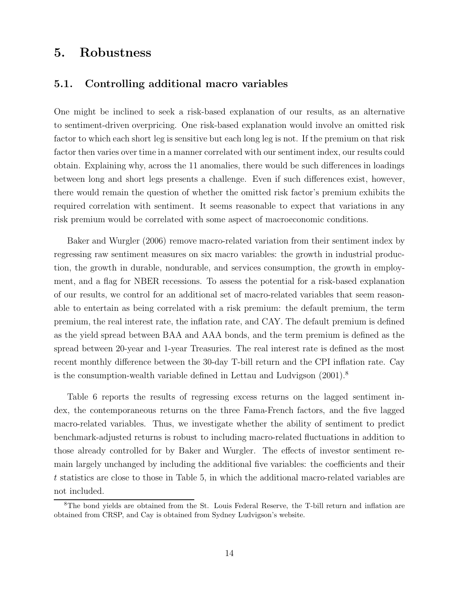# 5. Robustness

# 5.1. Controlling additional macro variables

One might be inclined to seek a risk-based explanation of our results, as an alternative to sentiment-driven overpricing. One risk-based explanation would involve an omitted risk factor to which each short leg is sensitive but each long leg is not. If the premium on that risk factor then varies over time in a manner correlated with our sentiment index, our results could obtain. Explaining why, across the 11 anomalies, there would be such differences in loadings between long and short legs presents a challenge. Even if such differences exist, however, there would remain the question of whether the omitted risk factor's premium exhibits the required correlation with sentiment. It seems reasonable to expect that variations in any risk premium would be correlated with some aspect of macroeconomic conditions.

Baker and Wurgler (2006) remove macro-related variation from their sentiment index by regressing raw sentiment measures on six macro variables: the growth in industrial production, the growth in durable, nondurable, and services consumption, the growth in employment, and a flag for NBER recessions. To assess the potential for a risk-based explanation of our results, we control for an additional set of macro-related variables that seem reasonable to entertain as being correlated with a risk premium: the default premium, the term premium, the real interest rate, the inflation rate, and CAY. The default premium is defined as the yield spread between BAA and AAA bonds, and the term premium is defined as the spread between 20-year and 1-year Treasuries. The real interest rate is defined as the most recent monthly difference between the 30-day T-bill return and the CPI inflation rate. Cay is the consumption-wealth variable defined in Lettau and Ludvigson  $(2001)^8$ 

Table 6 reports the results of regressing excess returns on the lagged sentiment index, the contemporaneous returns on the three Fama-French factors, and the five lagged macro-related variables. Thus, we investigate whether the ability of sentiment to predict benchmark-adjusted returns is robust to including macro-related fluctuations in addition to those already controlled for by Baker and Wurgler. The effects of investor sentiment remain largely unchanged by including the additional five variables: the coefficients and their t statistics are close to those in Table 5, in which the additional macro-related variables are not included.

<sup>8</sup>The bond yields are obtained from the St. Louis Federal Reserve, the T-bill return and inflation are obtained from CRSP, and Cay is obtained from Sydney Ludvigson's website.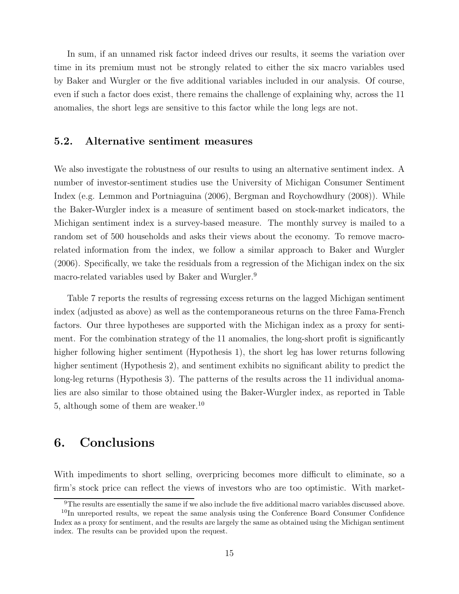In sum, if an unnamed risk factor indeed drives our results, it seems the variation over time in its premium must not be strongly related to either the six macro variables used by Baker and Wurgler or the five additional variables included in our analysis. Of course, even if such a factor does exist, there remains the challenge of explaining why, across the 11 anomalies, the short legs are sensitive to this factor while the long legs are not.

# 5.2. Alternative sentiment measures

We also investigate the robustness of our results to using an alternative sentiment index. A number of investor-sentiment studies use the University of Michigan Consumer Sentiment Index (e.g. Lemmon and Portniaguina (2006), Bergman and Roychowdhury (2008)). While the Baker-Wurgler index is a measure of sentiment based on stock-market indicators, the Michigan sentiment index is a survey-based measure. The monthly survey is mailed to a random set of 500 households and asks their views about the economy. To remove macrorelated information from the index, we follow a similar approach to Baker and Wurgler (2006). Specifically, we take the residuals from a regression of the Michigan index on the six macro-related variables used by Baker and Wurgler.<sup>9</sup>

Table 7 reports the results of regressing excess returns on the lagged Michigan sentiment index (adjusted as above) as well as the contemporaneous returns on the three Fama-French factors. Our three hypotheses are supported with the Michigan index as a proxy for sentiment. For the combination strategy of the 11 anomalies, the long-short profit is significantly higher following higher sentiment (Hypothesis 1), the short leg has lower returns following higher sentiment (Hypothesis 2), and sentiment exhibits no significant ability to predict the long-leg returns (Hypothesis 3). The patterns of the results across the 11 individual anomalies are also similar to those obtained using the Baker-Wurgler index, as reported in Table 5, although some of them are weaker.<sup>10</sup>

# 6. Conclusions

With impediments to short selling, overpricing becomes more difficult to eliminate, so a firm's stock price can reflect the views of investors who are too optimistic. With market-

<sup>&</sup>lt;sup>9</sup>The results are essentially the same if we also include the five additional macro variables discussed above.

<sup>&</sup>lt;sup>10</sup>In unreported results, we repeat the same analysis using the Conference Board Consumer Confidence Index as a proxy for sentiment, and the results are largely the same as obtained using the Michigan sentiment index. The results can be provided upon the request.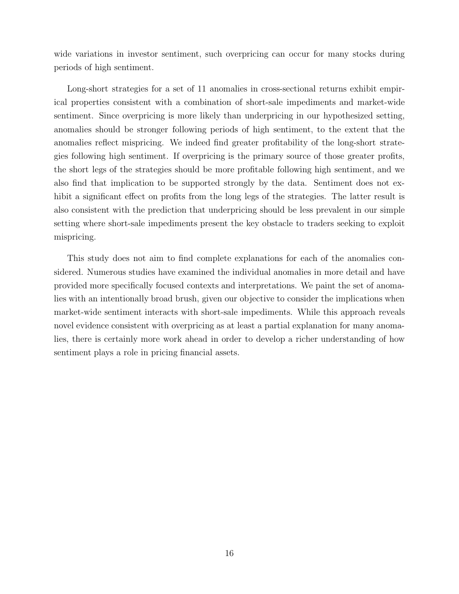wide variations in investor sentiment, such overpricing can occur for many stocks during periods of high sentiment.

Long-short strategies for a set of 11 anomalies in cross-sectional returns exhibit empirical properties consistent with a combination of short-sale impediments and market-wide sentiment. Since overpricing is more likely than underpricing in our hypothesized setting, anomalies should be stronger following periods of high sentiment, to the extent that the anomalies reflect mispricing. We indeed find greater profitability of the long-short strategies following high sentiment. If overpricing is the primary source of those greater profits, the short legs of the strategies should be more profitable following high sentiment, and we also find that implication to be supported strongly by the data. Sentiment does not exhibit a significant effect on profits from the long legs of the strategies. The latter result is also consistent with the prediction that underpricing should be less prevalent in our simple setting where short-sale impediments present the key obstacle to traders seeking to exploit mispricing.

This study does not aim to find complete explanations for each of the anomalies considered. Numerous studies have examined the individual anomalies in more detail and have provided more specifically focused contexts and interpretations. We paint the set of anomalies with an intentionally broad brush, given our objective to consider the implications when market-wide sentiment interacts with short-sale impediments. While this approach reveals novel evidence consistent with overpricing as at least a partial explanation for many anomalies, there is certainly more work ahead in order to develop a richer understanding of how sentiment plays a role in pricing financial assets.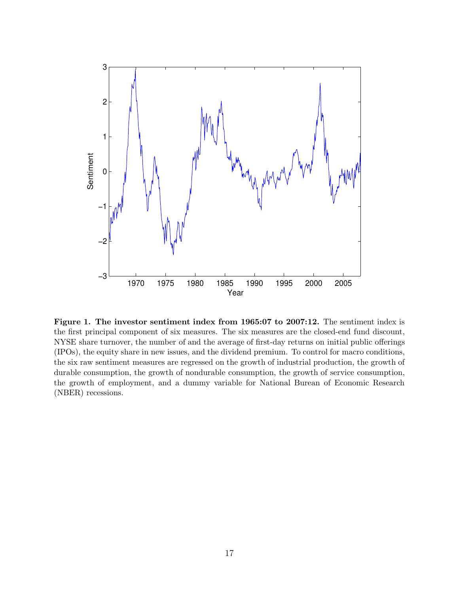

Figure 1. The investor sentiment index from 1965:07 to 2007:12. The sentiment index is the first principal component of six measures. The six measures are the closed-end fund discount, NYSE share turnover, the number of and the average of first-day returns on initial public offerings (IPOs), the equity share in new issues, and the dividend premium. To control for macro conditions, the six raw sentiment measures are regressed on the growth of industrial production, the growth of durable consumption, the growth of nondurable consumption, the growth of service consumption, the growth of employment, and a dummy variable for National Burean of Economic Research (NBER) recessions.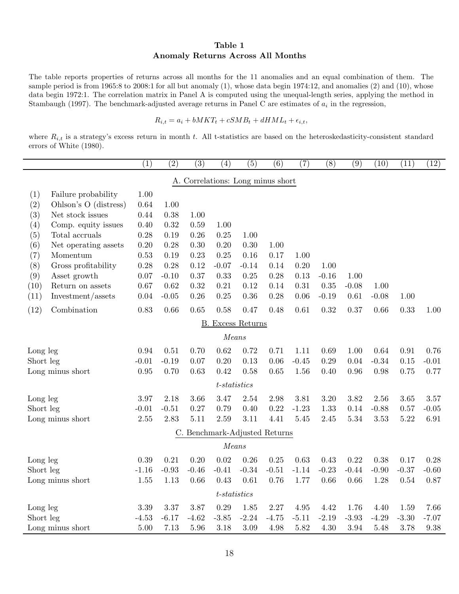#### Table 1 Anomaly Returns Across All Months

The table reports properties of returns across all months for the 11 anomalies and an equal combination of them. The sample period is from 1965:8 to 2008:1 for all but anomaly (1), whose data begin 1974:12, and anomalies (2) and (10), whose data begin 1972:1. The correlation matrix in Panel A is computed using the unequal-length series, applying the method in Stambaugh (1997). The benchmark-adjusted average returns in Panel C are estimates of  $a_i$  in the regression,

$$
R_{i,t} = a_i + bMKT_t + cSMB_t + dHML_t + \epsilon_{i,t},
$$

where  $R_{i,t}$  is a strategy's excess return in month t. All t-statistics are based on the heteroskedasticity-consistent standard errors of White (1980).

|                      |                       | (1)      | $\overline{(2)}$ | $\overline{(3)}$                  | (4)             | $\overline{(5)}$ | $\overline{(6)}$ | $\overline{(7)}$ | $\overline{(8)}$ | $\overline{(9)}$ | (10)    | (11)    | (12)    |
|----------------------|-----------------------|----------|------------------|-----------------------------------|-----------------|------------------|------------------|------------------|------------------|------------------|---------|---------|---------|
|                      |                       |          |                  | A. Correlations: Long minus short |                 |                  |                  |                  |                  |                  |         |         |         |
| (1)                  | Failure probability   | 1.00     |                  |                                   |                 |                  |                  |                  |                  |                  |         |         |         |
| (2)                  | Ohlson's O (distress) | 0.64     | 1.00             |                                   |                 |                  |                  |                  |                  |                  |         |         |         |
| (3)                  | Net stock issues      | 0.44     | 0.38             | 1.00                              |                 |                  |                  |                  |                  |                  |         |         |         |
| (4)                  | Comp. equity issues   | 0.40     | 0.32             | 0.59                              | 1.00            |                  |                  |                  |                  |                  |         |         |         |
| (5)                  | Total accruals        | 0.28     | 0.19             | 0.26                              | 0.25            | 1.00             |                  |                  |                  |                  |         |         |         |
| (6)                  | Net operating assets  | 0.20     | 0.28             | 0.30                              | 0.20            | 0.30             | 1.00             |                  |                  |                  |         |         |         |
| (7)                  | Momentum              | 0.53     | 0.19             | 0.23                              | 0.25            | 0.16             | 0.17             | 1.00             |                  |                  |         |         |         |
| (8)                  | Gross profitability   | 0.28     | 0.28             | 0.12                              | $-0.07$         | $-0.14$          | 0.14             | 0.20             | 1.00             |                  |         |         |         |
| (9)                  | Asset growth          | 0.07     | $-0.10$          | 0.37                              | 0.33            | 0.25             | 0.28             | 0.13             | $-0.16$          | 1.00             |         |         |         |
| (10)                 | Return on assets      | 0.67     | 0.62             | 0.32                              | 0.21            | 0.12             | 0.14             | 0.31             | 0.35             | $-0.08$          | 1.00    |         |         |
| (11)                 | Investment/assets     | $0.04\,$ | $-0.05$          | 0.26                              | 0.25            | 0.36             | 0.28             | 0.06             | $-0.19$          | 0.61             | $-0.08$ | 1.00    |         |
| (12)                 | Combination           | 0.83     | 0.66             | 0.65                              | 0.58            | 0.47             | 0.48             | 0.61             | 0.32             | 0.37             | 0.66    | 0.33    | 1.00    |
| Excess Returns<br>В. |                       |          |                  |                                   |                 |                  |                  |                  |                  |                  |         |         |         |
|                      |                       |          |                  |                                   | Means           |                  |                  |                  |                  |                  |         |         |         |
| Long leg             |                       | 0.94     | 0.51             | 0.70                              | 0.62            | 0.72             | 0.71             | 1.11             | 0.69             | 1.00             | 0.64    | 0.91    | 0.76    |
| Short leg            |                       | $-0.01$  | $-0.19$          | 0.07                              | 0.20            | 0.13             | 0.06             | $-0.45$          | 0.29             | 0.04             | $-0.34$ | 0.15    | $-0.01$ |
|                      | Long minus short      | 0.95     | 0.70             | 0.63                              | 0.42            | 0.58             | 0.65             | 1.56             | $0.40\,$         | 0.96             | 0.98    | 0.75    | 0.77    |
|                      |                       |          |                  |                                   | $t$ -statistics |                  |                  |                  |                  |                  |         |         |         |
| Long leg             |                       | 3.97     | 2.18             | 3.66                              | 3.47            | 2.54             | 2.98             | 3.81             | 3.20             | 3.82             | 2.56    | 3.65    | 3.57    |
| Short leg            |                       | $-0.01$  | $-0.51$          | 0.27                              | 0.79            | 0.40             | 0.22             | $-1.23$          | 1.33             | 0.14             | $-0.88$ | 0.57    | $-0.05$ |
|                      | Long minus short      | 2.55     | 2.83             | 5.11                              | 2.59            | 3.11             | 4.41             | 5.45             | 2.45             | 5.34             | 3.53    | 5.22    | 6.91    |
|                      |                       |          |                  | C. Benchmark-Adjusted Returns     |                 |                  |                  |                  |                  |                  |         |         |         |
|                      |                       |          |                  |                                   | Means           |                  |                  |                  |                  |                  |         |         |         |
| Long leg             |                       | 0.39     | 0.21             | 0.20                              | 0.02            | 0.26             | 0.25             | 0.63             | 0.43             | 0.22             | 0.38    | 0.17    | 0.28    |
| Short leg            |                       | $-1.16$  | $-0.93$          | $-0.46$                           | $-0.41$         | $-0.34$          | $-0.51$          | $-1.14$          | $-0.23$          | $-0.44$          | $-0.90$ | $-0.37$ | $-0.60$ |
|                      | Long minus short      | 1.55     | 1.13             | 0.66                              | 0.43            | 0.61             | 0.76             | 1.77             | 0.66             | 0.66             | 1.28    | 0.54    | 0.87    |
|                      |                       |          |                  |                                   | $t-statistics$  |                  |                  |                  |                  |                  |         |         |         |
| Long leg             |                       | 3.39     | 3.37             | 3.87                              | 0.29            | 1.85             | 2.27             | 4.95             | 4.42             | 1.76             | 4.40    | 1.59    | 7.66    |
| Short leg            |                       | $-4.53$  | $-6.17$          | $-4.62$                           | $-3.85$         | $-2.24$          | $-4.75$          | $-5.11$          | $-2.19$          | $-3.93$          | $-4.29$ | $-3.30$ | $-7.07$ |
|                      | Long minus short      | 5.00     | 7.13             | 5.96                              | 3.18            | 3.09             | 4.98             | 5.82             | 4.30             | 3.94             | 5.48    | 3.78    | 9.38    |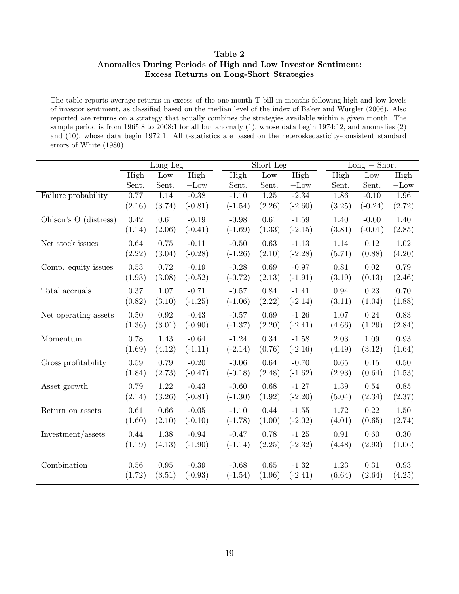# Table 2 Anomalies During Periods of High and Low Investor Sentiment: Excess Returns on Long-Short Strategies

The table reports average returns in excess of the one-month T-bill in months following high and low levels of investor sentiment, as classified based on the median level of the index of Baker and Wurgler (2006). Also reported are returns on a strategy that equally combines the strategies available within a given month. The sample period is from 1965:8 to 2008:1 for all but anomaly (1), whose data begin 1974:12, and anomalies (2) and (10), whose data begin 1972:1. All t-statistics are based on the heteroskedasticity-consistent standard errors of White (1980).

 $\overline{\phantom{a}}$ 

|                       |          | Long Leg   |                 |           | Short Leg |           |        | $Long - Short$ |        |  |  |  |
|-----------------------|----------|------------|-----------------|-----------|-----------|-----------|--------|----------------|--------|--|--|--|
|                       | High     | Low        | High            | High      | Low       | High      | High   | Low            | High   |  |  |  |
|                       | Sent.    | Sent.      | $-\mathrm{Low}$ | Sent.     | Sent.     | $-Low$    | Sent.  | Sent.          | $-Low$ |  |  |  |
| Failure probability   | 0.77     | 1.14       | $-0.38$         | $-1.10$   | 1.25      | $-2.34$   | 1.86   | $-0.10$        | 1.96   |  |  |  |
|                       | (2.16)   | (3.74)     | $(-0.81)$       | $(-1.54)$ | (2.26)    | $(-2.60)$ | (3.25) | $(-0.24)$      | (2.72) |  |  |  |
| Ohlson's O (distress) | 0.42     | 0.61       | $-0.19$         | $-0.98$   | 0.61      | $-1.59$   | 1.40   | $-0.00$        | 1.40   |  |  |  |
|                       | (1.14)   | (2.06)     | $(-0.41)$       | $(-1.69)$ | (1.33)    | $(-2.15)$ | (3.81) | $(-0.01)$      | (2.85) |  |  |  |
| Net stock issues      | 0.64     | 0.75       | $-0.11$         | $-0.50$   | 0.63      | $-1.13$   | 1.14   | 0.12           | 1.02   |  |  |  |
|                       | (2.22)   | (3.04)     | $(-0.28)$       | $(-1.26)$ | (2.10)    | $(-2.28)$ | (5.71) | (0.88)         | (4.20) |  |  |  |
| Comp. equity issues   | 0.53     | 0.72       | $-0.19$         | $-0.28$   | 0.69      | $-0.97$   | 0.81   | 0.02           | 0.79   |  |  |  |
|                       | (1.93)   | (3.08)     | $(-0.52)$       | $(-0.72)$ | (2.13)    | $(-1.91)$ | (3.19) | (0.13)         | (2.46) |  |  |  |
| Total accruals        | 0.37     | 1.07       | $-0.71$         | $-0.57$   | 0.84      | $-1.41$   | 0.94   | 0.23           | 0.70   |  |  |  |
|                       | (0.82)   | (3.10)     | $(-1.25)$       | $(-1.06)$ | (2.22)    | $(-2.14)$ | (3.11) | (1.04)         | (1.88) |  |  |  |
| Net operating assets  | $0.50\,$ | 0.92       | $-0.43$         | $-0.57$   | 0.69      | $-1.26$   | 1.07   | 0.24           | 0.83   |  |  |  |
|                       | (1.36)   | (3.01)     | $(-0.90)$       | $(-1.37)$ | (2.20)    | $(-2.41)$ | (4.66) | (1.29)         | (2.84) |  |  |  |
| Momentum              | 0.78     | 1.43       | $-0.64$         | $-1.24$   | 0.34      | $-1.58$   | 2.03   | 1.09           | 0.93   |  |  |  |
|                       | (1.69)   | (4.12)     | $(-1.11)$       | $(-2.14)$ | (0.76)    | $(-2.16)$ | (4.49) | (3.12)         | (1.64) |  |  |  |
| Gross profitability   | 0.59     | 0.79       | $-0.20$         | $-0.06$   | 0.64      | $-0.70$   | 0.65   | 0.15           | 0.50   |  |  |  |
|                       | (1.84)   | (2.73)     | $(-0.47)$       | $(-0.18)$ | (2.48)    | $(-1.62)$ | (2.93) | (0.64)         | (1.53) |  |  |  |
| Asset growth          | 0.79     | 1.22       | $-0.43$         | $-0.60$   | 0.68      | $-1.27$   | 1.39   | 0.54           | 0.85   |  |  |  |
|                       | (2.14)   | (3.26)     | $(-0.81)$       | $(-1.30)$ | (1.92)    | $(-2.20)$ | (5.04) | (2.34)         | (2.37) |  |  |  |
| Return on assets      | 0.61     | 0.66       | $-0.05$         | $-1.10$   | 0.44      | $-1.55$   | 1.72   | 0.22           | 1.50   |  |  |  |
|                       | (1.60)   | (2.10)     | $(-0.10)$       | $(-1.78)$ | (1.00)    | $(-2.02)$ | (4.01) | (0.65)         | (2.74) |  |  |  |
| Investment/assets     | 0.44     | 1.38       | $-0.94$         | $-0.47$   | 0.78      | $-1.25$   | 0.91   | 0.60           | 0.30   |  |  |  |
|                       | (1.19)   | (4.13)     | $(-1.90)$       | $(-1.14)$ | (2.25)    | $(-2.32)$ | (4.48) | (2.93)         | (1.06) |  |  |  |
| Combination           | $0.56\,$ | $\rm 0.95$ | $-0.39$         | $-0.68$   | 0.65      | $-1.32$   | 1.23   | 0.31           | 0.93   |  |  |  |
|                       | (1.72)   | (3.51)     | $(-0.93)$       | $(-1.54)$ | (1.96)    | $(-2.41)$ | (6.64) | (2.64)         | (4.25) |  |  |  |
|                       |          |            |                 |           |           |           |        |                |        |  |  |  |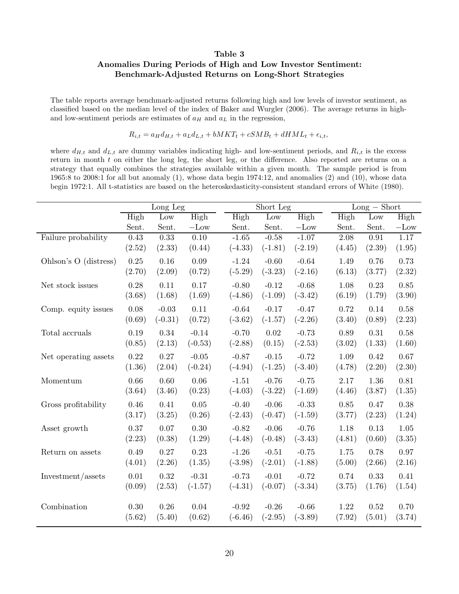# Table 3 Anomalies During Periods of High and Low Investor Sentiment: Benchmark-Adjusted Returns on Long-Short Strategies

The table reports average benchmark-adjusted returns following high and low levels of investor sentiment, as classified based on the median level of the index of Baker and Wurgler (2006). The average returns in highand low-sentiment periods are estimates of  $a_H$  and  $a_L$  in the regression,

 $R_{i,t} = a_H d_{H,t} + a_L d_{L,t} + bMKT_t + cSMB_t + dHML_t + \epsilon_{i,t},$ 

where  $d_{H,t}$  and  $d_{L,t}$  are dummy variables indicating high- and low-sentiment periods, and  $R_{i,t}$  is the excess return in month  $t$  on either the long leg, the short leg, or the difference. Also reported are returns on a strategy that equally combines the strategies available within a given month. The sample period is from 1965:8 to 2008:1 for all but anomaly (1), whose data begin 1974:12, and anomalies (2) and (10), whose data begin 1972:1. All t-statistics are based on the heteroskedasticity-consistent standard errors of White (1980).

|                       |                    | Long Leg       |                    |                      | Short Leg |                      |        | $Long - Short$ |        |  |  |
|-----------------------|--------------------|----------------|--------------------|----------------------|-----------|----------------------|--------|----------------|--------|--|--|
|                       | High               | Low            | High               | High                 | Low       | High                 | High   | Low            | High   |  |  |
|                       | Sent.              | Sent.          | $-\mathrm{Low}$    | Sent.                | Sent.     | $-Low$               | Sent.  | Sent.          | $-Low$ |  |  |
| Failure probability   | 0.43               | 0.33           | $\overline{0.10}$  | $-1.65$              | $-0.58$   | $-1.07$              | 2.08   | 0.91           | 1.17   |  |  |
|                       | (2.52)             | (2.33)         | (0.44)             | $(-4.33)$            | $(-1.81)$ | $(-2.19)$            | (4.45) | (2.39)         | (1.95) |  |  |
| Ohlson's O (distress) | 0.25               | $0.16\,$       | $0.09\,$           | $-1.24$              | $-0.60$   | $-0.64$              | 1.49   | 0.76           | 0.73   |  |  |
|                       | (2.70)             | (2.09)         | (0.72)             | $(-5.29)$            | $(-3.23)$ | $(-2.16)$            | (6.13) | (3.77)         | (2.32) |  |  |
| Net stock issues      | 0.28               | 0.11           | 0.17               | $-0.80$              | $-0.12$   | $-0.68$              | 1.08   | 0.23           | 0.85   |  |  |
|                       | (3.68)             | (1.68)         | (1.69)             | $(-4.86)$            | $(-1.09)$ | $(-3.42)$            | (6.19) | (1.79)         | (3.90) |  |  |
| Comp. equity issues   | 0.08               | $-0.03$        | 0.11               | $-0.64$              | $-0.17$   | $-0.47$              | 0.72   | 0.14           | 0.58   |  |  |
|                       | (0.69)             | $(-0.31)$      | (0.72)             | $(-3.62)$            | $(-1.57)$ | $(-2.26)$            | (3.40) | (0.89)         | (2.23) |  |  |
| Total accruals        | 0.19               | 0.34           | $-0.14$            | $-0.70$              | 0.02      | $-0.73$              | 0.89   | 0.31           | 0.58   |  |  |
|                       | (0.85)             | (2.13)         | $(-0.53)$          | $(-2.88)$            | (0.15)    | $(-2.53)$            | (3.02) | (1.33)         | (1.60) |  |  |
| Net operating assets  | 0.22               | 0.27           | $-0.05$            | $-0.87$              | $-0.15$   | $-0.72$              | 1.09   | 0.42           | 0.67   |  |  |
|                       | (1.36)             | (2.04)         | $(-0.24)$          | $(-4.94)$            | $(-1.25)$ | $(-3.40)$            | (4.78) | (2.20)         | (2.30) |  |  |
| Momentum              | 0.66               | 0.60           | 0.06               | $-1.51$              | $-0.76$   | $-0.75$              | 2.17   | 1.36           | 0.81   |  |  |
|                       | (3.64)             | (3.46)         | (0.23)             | $(-4.03)$            | $(-3.22)$ | $(-1.69)$            | (4.46) | (3.87)         | (1.35) |  |  |
| Gross profitability   | 0.46               | 0.41           | 0.05               | $-0.40$              | $-0.06$   | $-0.33$              | 0.85   | 0.47           | 0.38   |  |  |
|                       | (3.17)             | (3.25)         | (0.26)             | $(-2.43)$            | $(-0.47)$ | $(-1.59)$            | (3.77) | (2.23)         | (1.24) |  |  |
| Asset growth          | 0.37               | 0.07           | 0.30               | $-0.82$              | $-0.06$   | $-0.76$              | 1.18   | 0.13           | 1.05   |  |  |
|                       | (2.23)             | (0.38)         | (1.29)             | $(-4.48)$            | $(-0.48)$ | $(-3.43)$            | (4.81) | (0.60)         | (3.35) |  |  |
| Return on assets      | 0.49               | 0.27           | 0.23               | $-1.26$              | $-0.51$   | $-0.75$              | 1.75   | 0.78           | 0.97   |  |  |
|                       | (4.01)             | (2.26)         | (1.35)             | $(-3.98)$            | $(-2.01)$ | $(-1.88)$            | (5.00) | (2.66)         | (2.16) |  |  |
| Investment/assets     | $0.01\,$           | 0.32           | $-0.31$            | $-0.73$              | $-0.01$   | $-0.72$              | 0.74   | 0.33           | 0.41   |  |  |
|                       | (0.09)             | (2.53)         | $(-1.57)$          | $(-4.31)$            | $(-0.07)$ | $(-3.34)$            | (3.75) | (1.76)         | (1.54) |  |  |
|                       |                    |                |                    |                      | $-0.26$   |                      | 1.22   |                | 0.70   |  |  |
| Combination           | $0.30\,$<br>(5.62) | 0.26<br>(5.40) | $0.04\,$<br>(0.62) | $-0.92$<br>$(-6.46)$ | $(-2.95)$ | $-0.66$<br>$(-3.89)$ | (7.92) | 0.52<br>(5.01) | (3.74) |  |  |
|                       |                    |                |                    |                      |           |                      |        |                |        |  |  |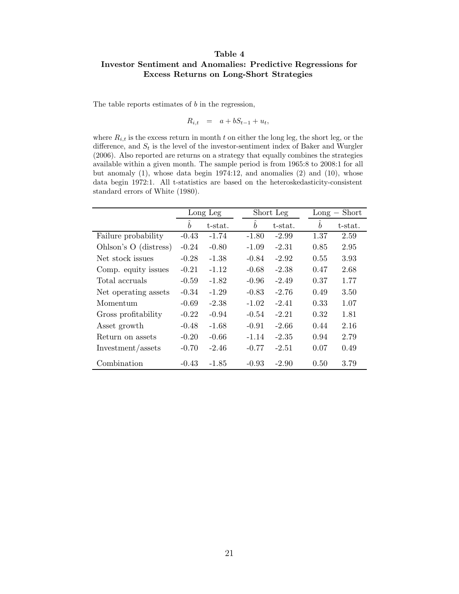## Table 4 Investor Sentiment and Anomalies: Predictive Regressions for Excess Returns on Long-Short Strategies

The table reports estimates of  $b$  in the regression,

$$
R_{i,t} = a + bS_{t-1} + u_t,
$$

where  $R_{i,t}$  is the excess return in month t on either the long leg, the short leg, or the difference, and  $S_t$  is the level of the investor-sentiment index of Baker and Wurgler (2006). Also reported are returns on a strategy that equally combines the strategies available within a given month. The sample period is from 1965:8 to 2008:1 for all but anomaly (1), whose data begin 1974:12, and anomalies (2) and (10), whose data begin 1972:1. All t-statistics are based on the heteroskedasticity-consistent standard errors of White (1980).

|                       | Long Leg         |         |                  | Short Leg |                  | $Long - Short$ |  |  |
|-----------------------|------------------|---------|------------------|-----------|------------------|----------------|--|--|
|                       | $\boldsymbol{b}$ | t-stat. | $\boldsymbol{b}$ | t-stat.   | $\boldsymbol{b}$ | t-stat.        |  |  |
| Failure probability   | $-0.43$          | $-1.74$ | $-1.80$          | $-2.99$   | 1.37             | 2.59           |  |  |
| Ohlson's O (distress) | $-0.24$          | $-0.80$ | $-1.09$          | $-2.31$   | 0.85             | 2.95           |  |  |
| Net stock issues      | $-0.28$          | $-1.38$ | $-0.84$          | $-2.92$   | 0.55             | 3.93           |  |  |
| Comp. equity issues   | $-0.21$          | $-1.12$ | $-0.68$          | $-2.38$   | 0.47             | 2.68           |  |  |
| Total accruals        | $-0.59$          | $-1.82$ | $-0.96$          | $-2.49$   | 0.37             | 1.77           |  |  |
| Net operating assets  | $-0.34$          | $-1.29$ | $-0.83$          | $-2.76$   | 0.49             | 3.50           |  |  |
| Momentum              | $-0.69$          | $-2.38$ | $-1.02$          | $-2.41$   | 0.33             | 1.07           |  |  |
| Gross profitability   | $-0.22$          | $-0.94$ | $-0.54$          | $-2.21$   | 0.32             | 1.81           |  |  |
| Asset growth          | $-0.48$          | $-1.68$ | $-0.91$          | $-2.66$   | 0.44             | 2.16           |  |  |
| Return on assets      | $-0.20$          | $-0.66$ | $-1.14$          | $-2.35$   | 0.94             | 2.79           |  |  |
| Investment/assets     | $-0.70$          | $-2.46$ | $-0.77$          | $-2.51$   | 0.07             | 0.49           |  |  |
| Combination           | $-0.43$          | -1.85   | $-0.93$          | $-2.90$   | 0.50             | 3.79           |  |  |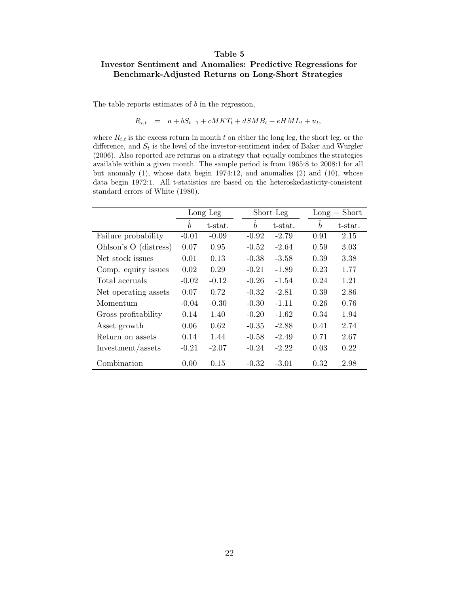#### Table 5

#### Investor Sentiment and Anomalies: Predictive Regressions for Benchmark-Adjusted Returns on Long-Short Strategies

The table reports estimates of  $b$  in the regression,

$$
R_{i,t} = a + bS_{t-1} + cMKT_t + dSMB_t + eHML_t + u_t,
$$

where  $R_{i,t}$  is the excess return in month t on either the long leg, the short leg, or the difference, and  $S_t$  is the level of the investor-sentiment index of Baker and Wurgler (2006). Also reported are returns on a strategy that equally combines the strategies available within a given month. The sample period is from 1965:8 to 2008:1 for all but anomaly (1), whose data begin 1974:12, and anomalies (2) and (10), whose data begin 1972:1. All t-statistics are based on the heteroskedasticity-consistent standard errors of White (1980).

|                       |                            | Long Leg |                  | Short Leg |                  | $Long - Short$ |
|-----------------------|----------------------------|----------|------------------|-----------|------------------|----------------|
|                       | $\sim$<br>$\boldsymbol{b}$ | t-stat.  | $\boldsymbol{b}$ | t-stat.   | $\boldsymbol{b}$ | t-stat.        |
| Failure probability   | $-0.01$                    | $-0.09$  | $-0.92$          | $-2.79$   | 0.91             | 2.15           |
| Ohlson's O (distress) | 0.07                       | 0.95     | $-0.52$          | $-2.64$   | 0.59             | 3.03           |
| Net stock issues      | 0.01                       | 0.13     | $-0.38$          | $-3.58$   | 0.39             | 3.38           |
| Comp. equity issues   | 0.02                       | 0.29     | $-0.21$          | $-1.89$   | 0.23             | 1.77           |
| Total accruals        | $-0.02$                    | $-0.12$  | $-0.26$          | $-1.54$   | 0.24             | 1.21           |
| Net operating assets  | 0.07                       | 0.72     | $-0.32$          | $-2.81$   | 0.39             | 2.86           |
| Momentum              | $-0.04$                    | $-0.30$  | $-0.30$          | $-1.11$   | 0.26             | 0.76           |
| Gross profitability   | 0.14                       | 1.40     | $-0.20$          | $-1.62$   | 0.34             | 1.94           |
| Asset growth          | 0.06                       | 0.62     | $-0.35$          | $-2.88$   | 0.41             | 2.74           |
| Return on assets      | 0.14                       | 1.44     | $-0.58$          | $-2.49$   | 0.71             | 2.67           |
| Investment/assets     | $-0.21$                    | $-2.07$  | $-0.24$          | $-2.22$   | 0.03             | 0.22           |
| Combination           | 0.00                       | 0.15     | $-0.32$          | $-3.01$   | 0.32             | 2.98           |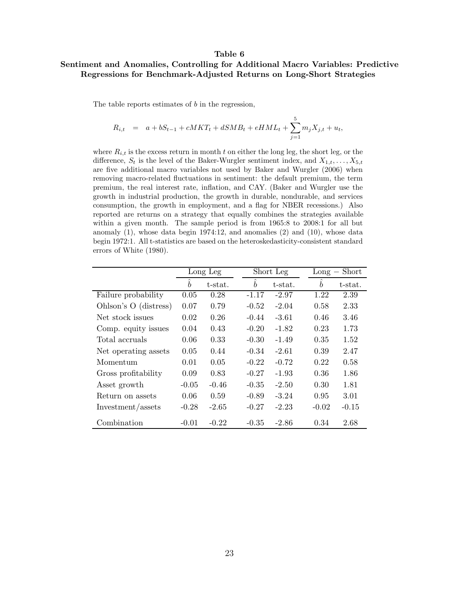#### Table 6

#### Sentiment and Anomalies, Controlling for Additional Macro Variables: Predictive Regressions for Benchmark-Adjusted Returns on Long-Short Strategies

The table reports estimates of  $b$  in the regression,

$$
R_{i,t} = a + bS_{t-1} + cMKT_t + dSMB_t + eHML_t + \sum_{j=1}^{5} m_j X_{j,t} + u_t,
$$

where  $R_{i,t}$  is the excess return in month t on either the long leg, the short leg, or the difference,  $S_t$  is the level of the Baker-Wurgler sentiment index, and  $X_{1,t}, \ldots, X_{5,t}$ are five additional macro variables not used by Baker and Wurgler (2006) when removing macro-related fluctuations in sentiment: the default premium, the term premium, the real interest rate, inflation, and CAY. (Baker and Wurgler use the growth in industrial production, the growth in durable, nondurable, and services consumption, the growth in employment, and a flag for NBER recessions.) Also reported are returns on a strategy that equally combines the strategies available within a given month. The sample period is from 1965:8 to 2008:1 for all but anomaly (1), whose data begin 1974:12, and anomalies (2) and (10), whose data begin 1972:1. All t-statistics are based on the heteroskedasticity-consistent standard errors of White (1980).

|                       | Long Leg         |         |                  | Short Leg |           | $Long - Short$ |  |  |
|-----------------------|------------------|---------|------------------|-----------|-----------|----------------|--|--|
|                       | $\boldsymbol{b}$ | t-stat. | $\boldsymbol{b}$ | t-stat.   | $\hat{b}$ | t-stat.        |  |  |
| Failure probability   | 0.05             | 0.28    | $-1.17$          | $-2.97$   | 1.22      | 2.39           |  |  |
| Ohlson's O (distress) | 0.07             | 0.79    | $-0.52$          | $-2.04$   | 0.58      | 2.33           |  |  |
| Net stock issues      | 0.02             | 0.26    | $-0.44$          | $-3.61$   | 0.46      | 3.46           |  |  |
| Comp. equity issues   | 0.04             | 0.43    | $-0.20$          | $-1.82$   | 0.23      | 1.73           |  |  |
| Total accruals        | 0.06             | 0.33    | $-0.30$          | $-1.49$   | 0.35      | 1.52           |  |  |
| Net operating assets  | 0.05             | 0.44    | $-0.34$          | $-2.61$   | 0.39      | 2.47           |  |  |
| Momentum              | 0.01             | 0.05    | $-0.22$          | $-0.72$   | 0.22      | 0.58           |  |  |
| Gross profitability   | 0.09             | 0.83    | $-0.27$          | $-1.93$   | 0.36      | 1.86           |  |  |
| Asset growth          | $-0.05$          | $-0.46$ | $-0.35$          | $-2.50$   | 0.30      | 1.81           |  |  |
| Return on assets      | 0.06             | 0.59    | $-0.89$          | $-3.24$   | 0.95      | 3.01           |  |  |
| Investment/assets     | $-0.28$          | $-2.65$ | $-0.27$          | $-2.23$   | $-0.02$   | $-0.15$        |  |  |
| Combination           | $-0.01$          | $-0.22$ | $-0.35$          | $-2.86$   | 0.34      | 2.68           |  |  |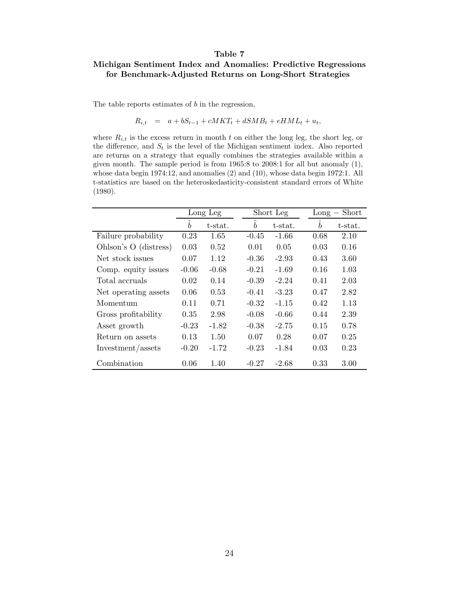#### Table 7

# Michigan Sentiment Index and Anomalies: Predictive Regressions for Benchmark-Adjusted Returns on Long-Short Strategies

The table reports estimates of  $b$  in the regression,

$$
R_{i,t} = a + bS_{t-1} + cMKT_t + dSMB_t + eHML_t + u_t,
$$

where  $R_{i,t}$  is the excess return in month t on either the long leg, the short leg, or the difference, and  $S_t$  is the level of the Michigan sentiment index. Also reported are returns on a strategy that equally combines the strategies available within a given month. The sample period is from 1965:8 to 2008:1 for all but anomaly (1), whose data begin 1974:12, and anomalies (2) and (10), whose data begin 1972:1. All t-statistics are based on the heteroskedasticity-consistent standard errors of White (1980).

|                       | Long Leg                   |         | Short Leg        |         |  | $Long - Short$   |         |  |
|-----------------------|----------------------------|---------|------------------|---------|--|------------------|---------|--|
|                       | $\sim$<br>$\boldsymbol{b}$ | t-stat. | $\boldsymbol{b}$ | t-stat. |  | $\boldsymbol{b}$ | t-stat. |  |
| Failure probability   | 0.23                       | 1.65    | $-0.45$          | $-1.66$ |  | 0.68             | 2.10    |  |
| Ohlson's O (distress) | 0.03                       | 0.52    | 0.01             | 0.05    |  | 0.03             | 0.16    |  |
| Net stock issues      | 0.07                       | 1.12    | $-0.36$          | $-2.93$ |  | 0.43             | 3.60    |  |
| Comp. equity issues   | $-0.06$                    | $-0.68$ | $-0.21$          | $-1.69$ |  | 0.16             | 1.03    |  |
| Total accruals        | 0.02                       | 0.14    | $-0.39$          | $-2.24$ |  | 0.41             | 2.03    |  |
| Net operating assets  | 0.06                       | 0.53    | $-0.41$          | $-3.23$ |  | 0.47             | 2.82    |  |
| Momentum              | 0.11                       | 0.71    | $-0.32$          | $-1.15$ |  | 0.42             | 1.13    |  |
| Gross profitability   | 0.35                       | 2.98    | $-0.08$          | $-0.66$ |  | 0.44             | 2.39    |  |
| Asset growth          | $-0.23$                    | $-1.82$ | $-0.38$          | $-2.75$ |  | 0.15             | 0.78    |  |
| Return on assets      | 0.13                       | 1.50    | 0.07             | 0.28    |  | 0.07             | 0.25    |  |
| Investment/assets     | $-0.20$                    | $-1.72$ | $-0.23$          | $-1.84$ |  | 0.03             | 0.23    |  |
| Combination           | 0.06                       | 1.40    | $-0.27$          | $-2.68$ |  | 0.33             | 3.00    |  |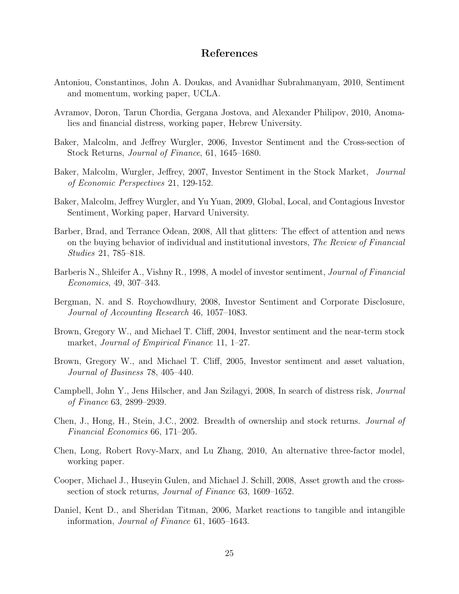# References

- Antoniou, Constantinos, John A. Doukas, and Avanidhar Subrahmanyam, 2010, Sentiment and momentum, working paper, UCLA.
- Avramov, Doron, Tarun Chordia, Gergana Jostova, and Alexander Philipov, 2010, Anomalies and financial distress, working paper, Hebrew University.
- Baker, Malcolm, and Jeffrey Wurgler, 2006, Investor Sentiment and the Cross-section of Stock Returns, Journal of Finance, 61, 1645–1680.
- Baker, Malcolm, Wurgler, Jeffrey, 2007, Investor Sentiment in the Stock Market, Journal of Economic Perspectives 21, 129-152.
- Baker, Malcolm, Jeffrey Wurgler, and Yu Yuan, 2009, Global, Local, and Contagious Investor Sentiment, Working paper, Harvard University.
- Barber, Brad, and Terrance Odean, 2008, All that glitters: The effect of attention and news on the buying behavior of individual and institutional investors, The Review of Financial Studies 21, 785–818.
- Barberis N., Shleifer A., Vishny R., 1998, A model of investor sentiment, Journal of Financial Economics, 49, 307–343.
- Bergman, N. and S. Roychowdhury, 2008, Investor Sentiment and Corporate Disclosure, Journal of Accounting Research 46, 1057–1083.
- Brown, Gregory W., and Michael T. Cliff, 2004, Investor sentiment and the near-term stock market, *Journal of Empirical Finance* 11, 1–27.
- Brown, Gregory W., and Michael T. Cliff, 2005, Investor sentiment and asset valuation, Journal of Business 78, 405–440.
- Campbell, John Y., Jens Hilscher, and Jan Szilagyi, 2008, In search of distress risk, Journal of Finance 63, 2899–2939.
- Chen, J., Hong, H., Stein, J.C., 2002. Breadth of ownership and stock returns. Journal of Financial Economics 66, 171–205.
- Chen, Long, Robert Rovy-Marx, and Lu Zhang, 2010, An alternative three-factor model, working paper.
- Cooper, Michael J., Huseyin Gulen, and Michael J. Schill, 2008, Asset growth and the crosssection of stock returns, Journal of Finance 63, 1609–1652.
- Daniel, Kent D., and Sheridan Titman, 2006, Market reactions to tangible and intangible information, Journal of Finance 61, 1605–1643.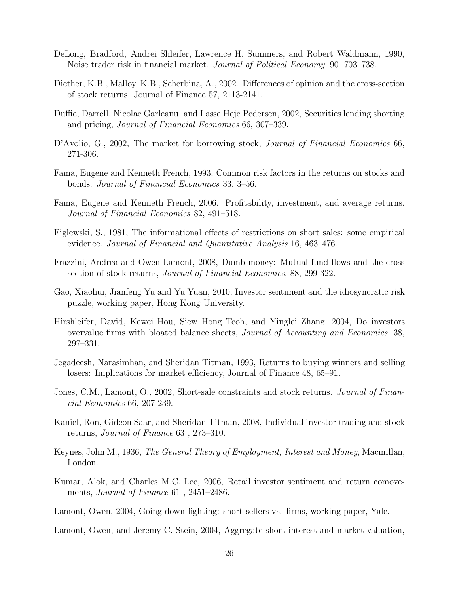- DeLong, Bradford, Andrei Shleifer, Lawrence H. Summers, and Robert Waldmann, 1990, Noise trader risk in financial market. *Journal of Political Economy*, 90, 703–738.
- Diether, K.B., Malloy, K.B., Scherbina, A., 2002. Differences of opinion and the cross-section of stock returns. Journal of Finance 57, 2113-2141.
- Duffie, Darrell, Nicolae Garleanu, and Lasse Heje Pedersen, 2002, Securities lending shorting and pricing, Journal of Financial Economics 66, 307–339.
- D'Avolio, G., 2002, The market for borrowing stock, *Journal of Financial Economics* 66, 271-306.
- Fama, Eugene and Kenneth French, 1993, Common risk factors in the returns on stocks and bonds. Journal of Financial Economics 33, 3–56.
- Fama, Eugene and Kenneth French, 2006. Profitability, investment, and average returns. Journal of Financial Economics 82, 491–518.
- Figlewski, S., 1981, The informational effects of restrictions on short sales: some empirical evidence. Journal of Financial and Quantitative Analysis 16, 463–476.
- Frazzini, Andrea and Owen Lamont, 2008, Dumb money: Mutual fund flows and the cross section of stock returns, *Journal of Financial Economics*, 88, 299-322.
- Gao, Xiaohui, Jianfeng Yu and Yu Yuan, 2010, Investor sentiment and the idiosyncratic risk puzzle, working paper, Hong Kong University.
- Hirshleifer, David, Kewei Hou, Siew Hong Teoh, and Yinglei Zhang, 2004, Do investors overvalue firms with bloated balance sheets, Journal of Accounting and Economics, 38, 297–331.
- Jegadeesh, Narasimhan, and Sheridan Titman, 1993, Returns to buying winners and selling losers: Implications for market efficiency, Journal of Finance 48, 65–91.
- Jones, C.M., Lamont, O., 2002, Short-sale constraints and stock returns. Journal of Financial Economics 66, 207-239.
- Kaniel, Ron, Gideon Saar, and Sheridan Titman, 2008, Individual investor trading and stock returns, Journal of Finance 63 , 273–310.
- Keynes, John M., 1936, The General Theory of Employment, Interest and Money, Macmillan, London.
- Kumar, Alok, and Charles M.C. Lee, 2006, Retail investor sentiment and return comovements, *Journal of Finance* 61, 2451–2486.
- Lamont, Owen, 2004, Going down fighting: short sellers vs. firms, working paper, Yale.
- Lamont, Owen, and Jeremy C. Stein, 2004, Aggregate short interest and market valuation,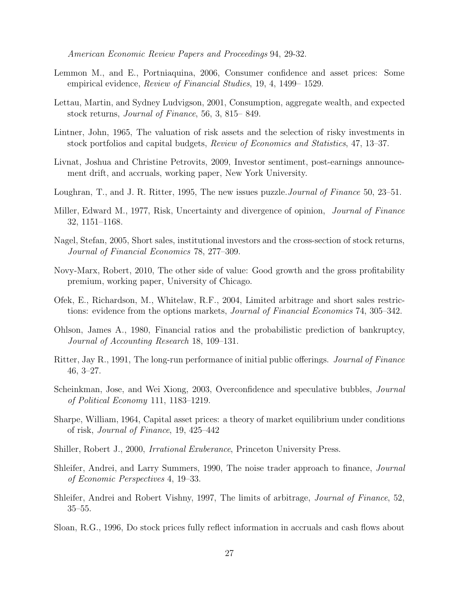American Economic Review Papers and Proceedings 94, 29-32.

- Lemmon M., and E., Portniaquina, 2006, Consumer confidence and asset prices: Some empirical evidence, Review of Financial Studies, 19, 4, 1499– 1529.
- Lettau, Martin, and Sydney Ludvigson, 2001, Consumption, aggregate wealth, and expected stock returns, Journal of Finance, 56, 3, 815– 849.
- Lintner, John, 1965, The valuation of risk assets and the selection of risky investments in stock portfolios and capital budgets, Review of Economics and Statistics, 47, 13–37.
- Livnat, Joshua and Christine Petrovits, 2009, Investor sentiment, post-earnings announcement drift, and accruals, working paper, New York University.
- Loughran, T., and J. R. Ritter, 1995, The new issues puzzle. *Journal of Finance* 50, 23–51.
- Miller, Edward M., 1977, Risk, Uncertainty and divergence of opinion, *Journal of Finance* 32, 1151–1168.
- Nagel, Stefan, 2005, Short sales, institutional investors and the cross-section of stock returns, Journal of Financial Economics 78, 277–309.
- Novy-Marx, Robert, 2010, The other side of value: Good growth and the gross profitability premium, working paper, University of Chicago.
- Ofek, E., Richardson, M., Whitelaw, R.F., 2004, Limited arbitrage and short sales restrictions: evidence from the options markets, *Journal of Financial Economics* 74, 305–342.
- Ohlson, James A., 1980, Financial ratios and the probabilistic prediction of bankruptcy, Journal of Accounting Research 18, 109–131.
- Ritter, Jay R., 1991, The long-run performance of initial public offerings. Journal of Finance 46, 3–27.
- Scheinkman, Jose, and Wei Xiong, 2003, Overconfidence and speculative bubbles, Journal of Political Economy 111, 1183–1219.
- Sharpe, William, 1964, Capital asset prices: a theory of market equilibrium under conditions of risk, Journal of Finance, 19, 425–442
- Shiller, Robert J., 2000, Irrational Exuberance, Princeton University Press.
- Shleifer, Andrei, and Larry Summers, 1990, The noise trader approach to finance, *Journal* of Economic Perspectives 4, 19–33.
- Shleifer, Andrei and Robert Vishny, 1997, The limits of arbitrage, Journal of Finance, 52, 35–55.
- Sloan, R.G., 1996, Do stock prices fully reflect information in accruals and cash flows about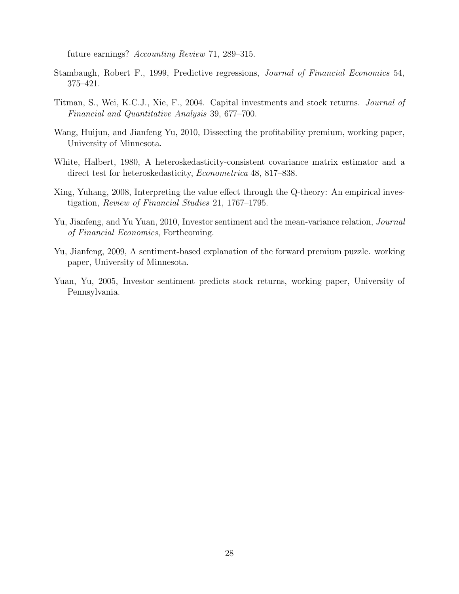future earnings? Accounting Review 71, 289–315.

- Stambaugh, Robert F., 1999, Predictive regressions, Journal of Financial Economics 54, 375–421.
- Titman, S., Wei, K.C.J., Xie, F., 2004. Capital investments and stock returns. Journal of Financial and Quantitative Analysis 39, 677–700.
- Wang, Huijun, and Jianfeng Yu, 2010, Dissecting the profitability premium, working paper, University of Minnesota.
- White, Halbert, 1980, A heteroskedasticity-consistent covariance matrix estimator and a direct test for heteroskedasticity, *Econometrica* 48, 817–838.
- Xing, Yuhang, 2008, Interpreting the value effect through the Q-theory: An empirical investigation, Review of Financial Studies 21, 1767–1795.
- Yu, Jianfeng, and Yu Yuan, 2010, Investor sentiment and the mean-variance relation, Journal of Financial Economics, Forthcoming.
- Yu, Jianfeng, 2009, A sentiment-based explanation of the forward premium puzzle. working paper, University of Minnesota.
- Yuan, Yu, 2005, Investor sentiment predicts stock returns, working paper, University of Pennsylvania.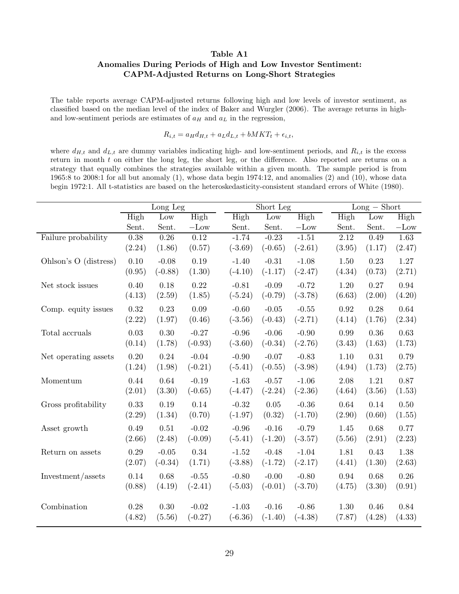## Table A1 Anomalies During Periods of High and Low Investor Sentiment: CAPM-Adjusted Returns on Long-Short Strategies

The table reports average CAPM-adjusted returns following high and low levels of investor sentiment, as classified based on the median level of the index of Baker and Wurgler (2006). The average returns in highand low-sentiment periods are estimates of  $a_H$  and  $a_L$  in the regression,

 $R_{i,t} = a_H d_{H,t} + a_L d_{L,t} + b MKT_t + \epsilon_{i,t},$ 

where  $d_{H,t}$  and  $d_{L,t}$  are dummy variables indicating high- and low-sentiment periods, and  $R_{i,t}$  is the excess return in month  $t$  on either the long leg, the short leg, or the difference. Also reported are returns on a strategy that equally combines the strategies available within a given month. The sample period is from 1965:8 to 2008:1 for all but anomaly (1), whose data begin 1974:12, and anomalies (2) and (10), whose data begin 1972:1. All t-statistics are based on the heteroskedasticity-consistent standard errors of White (1980).

|                       | Long $Leg$ |                   |           |           | Short Leg |           |                   | $Long - Short$ |                   |  |  |
|-----------------------|------------|-------------------|-----------|-----------|-----------|-----------|-------------------|----------------|-------------------|--|--|
|                       | High       | Low               | High      | High      | Low       | High      | High              | Low            | High              |  |  |
|                       | Sent.      | Sent.             | $-Low$    | Sent.     | Sent.     | $-Low$    | Sent.             | Sent.          | $-Low$            |  |  |
| Failure probability   | 0.38       | $\overline{0.26}$ | 0.12      | $-1.74$   | $-0.23$   | $-1.51$   | $\overline{2.12}$ | 0.49           | $\overline{1.63}$ |  |  |
|                       | (2.24)     | (1.86)            | (0.57)    | $(-3.69)$ | $(-0.65)$ | $(-2.61)$ | (3.95)            | (1.17)         | (2.47)            |  |  |
| Ohlson's O (distress) | 0.10       | $-0.08$           | 0.19      | $-1.40$   | $-0.31$   | $-1.08$   | 1.50              | 0.23           | $1.27\,$          |  |  |
|                       | (0.95)     | $(-0.88)$         | (1.30)    | $(-4.10)$ | $(-1.17)$ | $(-2.47)$ | (4.34)            | (0.73)         | (2.71)            |  |  |
| Net stock issues      | 0.40       | 0.18              | 0.22      | $-0.81$   | $-0.09$   | $-0.72$   | 1.20              | 0.27           | 0.94              |  |  |
|                       | (4.13)     | (2.59)            | (1.85)    | $(-5.24)$ | $(-0.79)$ | $(-3.78)$ | (6.63)            | (2.00)         | (4.20)            |  |  |
| Comp. equity issues   | 0.32       | 0.23              | 0.09      | $-0.60$   | $-0.05$   | $-0.55$   | 0.92              | 0.28           | 0.64              |  |  |
|                       | (2.22)     | (1.97)            | (0.46)    | $(-3.56)$ | $(-0.43)$ | $(-2.71)$ | (4.14)            | (1.76)         | (2.34)            |  |  |
| Total accruals        | 0.03       | 0.30              | $-0.27$   | $-0.96$   | $-0.06$   | $-0.90$   | 0.99              | 0.36           | 0.63              |  |  |
|                       | (0.14)     | (1.78)            | $(-0.93)$ | $(-3.60)$ | $(-0.34)$ | $(-2.76)$ | (3.43)            | (1.63)         | (1.73)            |  |  |
| Net operating assets  | $0.20\,$   | $0.24\,$          | $-0.04$   | $-0.90$   | $-0.07$   | $-0.83$   | 1.10              | 0.31           | 0.79              |  |  |
|                       | (1.24)     | (1.98)            | $(-0.21)$ | $(-5.41)$ | $(-0.55)$ | $(-3.98)$ | (4.94)            | (1.73)         | (2.75)            |  |  |
| Momentum              | 0.44       | 0.64              | $-0.19$   | $-1.63$   | $-0.57$   | $-1.06$   | 2.08              | 1.21           | 0.87              |  |  |
|                       | (2.01)     | (3.30)            | $(-0.65)$ | $(-4.47)$ | $(-2.24)$ | $(-2.36)$ | (4.64)            | (3.56)         | (1.53)            |  |  |
| Gross profitability   | 0.33       | 0.19              | 0.14      | $-0.32$   | $0.05\,$  | $-0.36$   | 0.64              | 0.14           | 0.50              |  |  |
|                       | (2.29)     | (1.34)            | (0.70)    | $(-1.97)$ | (0.32)    | $(-1.70)$ | (2.90)            | (0.60)         | (1.55)            |  |  |
| Asset growth          | 0.49       | 0.51              | $-0.02$   | $-0.96$   | $-0.16$   | $-0.79$   | 1.45              | 0.68           | 0.77              |  |  |
|                       | (2.66)     | (2.48)            | $(-0.09)$ | $(-5.41)$ | $(-1.20)$ | $(-3.57)$ | (5.56)            | (2.91)         | (2.23)            |  |  |
| Return on assets      | 0.29       | $-0.05$           | 0.34      | $-1.52$   | $-0.48$   | $-1.04$   | 1.81              | 0.43           | 1.38              |  |  |
|                       | (2.07)     | $(-0.34)$         | (1.71)    | $(-3.88)$ | $(-1.72)$ | $(-2.17)$ | (4.41)            | (1.30)         | (2.63)            |  |  |
| Investment/assets     | 0.14       | 0.68              | $-0.55$   | $-0.80$   | $-0.00$   | $-0.80$   | 0.94              | 0.68           | 0.26              |  |  |
|                       | (0.88)     | (4.19)            | $(-2.41)$ | $(-5.03)$ | $(-0.01)$ | $(-3.70)$ | (4.75)            | (3.30)         | (0.91)            |  |  |
| Combination           | 0.28       | 0.30              | $-0.02$   | $-1.03$   | $-0.16$   | $-0.86$   | $1.30\,$          | 0.46           | 0.84              |  |  |
|                       | (4.82)     | (5.56)            | $(-0.27)$ | $(-6.36)$ | $(-1.40)$ | $(-4.38)$ | (7.87)            | (4.28)         | (4.33)            |  |  |
|                       |            |                   |           |           |           |           |                   |                |                   |  |  |